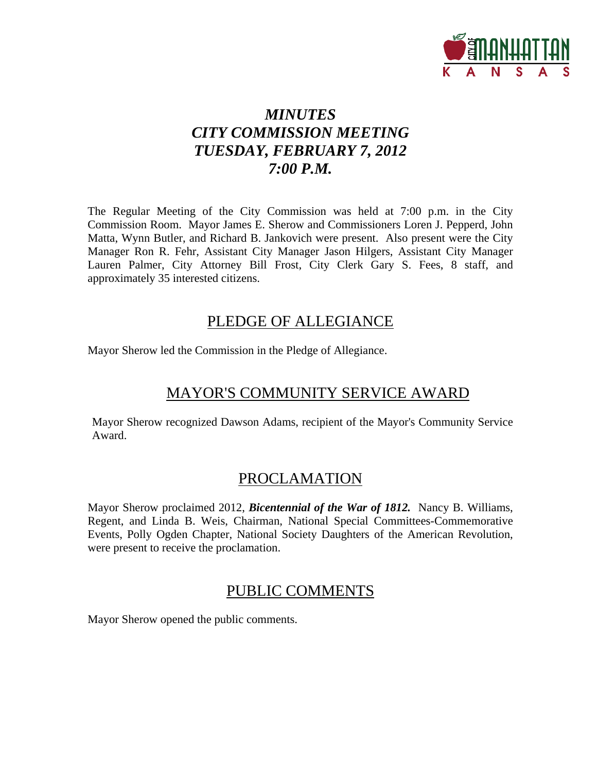

# *MINUTES CITY COMMISSION MEETING TUESDAY, FEBRUARY 7, 2012 7:00 P.M.*

The Regular Meeting of the City Commission was held at 7:00 p.m. in the City Commission Room. Mayor James E. Sherow and Commissioners Loren J. Pepperd, John Matta, Wynn Butler, and Richard B. Jankovich were present. Also present were the City Manager Ron R. Fehr, Assistant City Manager Jason Hilgers, Assistant City Manager Lauren Palmer, City Attorney Bill Frost, City Clerk Gary S. Fees, 8 staff, and approximately 35 interested citizens.

## PLEDGE OF ALLEGIANCE

Mayor Sherow led the Commission in the Pledge of Allegiance.

# MAYOR'S COMMUNITY SERVICE AWARD

Mayor Sherow recognized Dawson Adams, recipient of the Mayor's Community Service Award.

# PROCLAMATION

Mayor Sherow proclaimed 2012, *Bicentennial of the War of 1812.* Nancy B. Williams, Regent, and Linda B. Weis, Chairman, National Special Committees-Commemorative Events, Polly Ogden Chapter, National Society Daughters of the American Revolution, were present to receive the proclamation.

# PUBLIC COMMENTS

Mayor Sherow opened the public comments.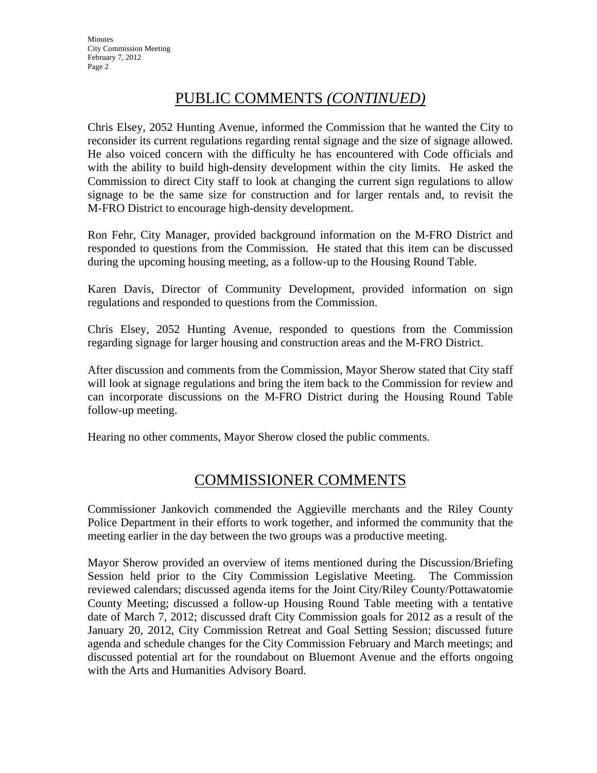# PUBLIC COMMENTS *(CONTINUED)*

Chris Elsey, 2052 Hunting Avenue, informed the Commission that he wanted the City to reconsider its current regulations regarding rental signage and the size of signage allowed. He also voiced concern with the difficulty he has encountered with Code officials and with the ability to build high-density development within the city limits. He asked the Commission to direct City staff to look at changing the current sign regulations to allow signage to be the same size for construction and for larger rentals and, to revisit the M-FRO District to encourage high-density development.

Ron Fehr, City Manager, provided background information on the M-FRO District and responded to questions from the Commission. He stated that this item can be discussed during the upcoming housing meeting, as a follow-up to the Housing Round Table.

Karen Davis, Director of Community Development, provided information on sign regulations and responded to questions from the Commission.

Chris Elsey, 2052 Hunting Avenue, responded to questions from the Commission regarding signage for larger housing and construction areas and the M-FRO District.

After discussion and comments from the Commission, Mayor Sherow stated that City staff will look at signage regulations and bring the item back to the Commission for review and can incorporate discussions on the M-FRO District during the Housing Round Table follow-up meeting.

Hearing no other comments, Mayor Sherow closed the public comments.

# COMMISSIONER COMMENTS

Commissioner Jankovich commended the Aggieville merchants and the Riley County Police Department in their efforts to work together, and informed the community that the meeting earlier in the day between the two groups was a productive meeting.

Mayor Sherow provided an overview of items mentioned during the Discussion/Briefing Session held prior to the City Commission Legislative Meeting. The Commission reviewed calendars; discussed agenda items for the Joint City/Riley County/Pottawatomie County Meeting; discussed a follow-up Housing Round Table meeting with a tentative date of March 7, 2012; discussed draft City Commission goals for 2012 as a result of the January 20, 2012, City Commission Retreat and Goal Setting Session; discussed future agenda and schedule changes for the City Commission February and March meetings; and discussed potential art for the roundabout on Bluemont Avenue and the efforts ongoing with the Arts and Humanities Advisory Board.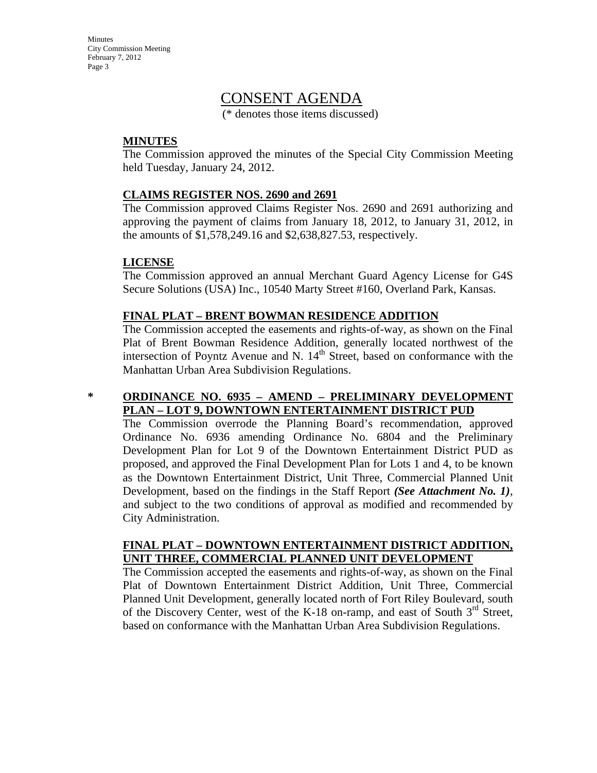## CONSENT AGENDA

(\* denotes those items discussed)

#### **MINUTES**

The Commission approved the minutes of the Special City Commission Meeting held Tuesday, January 24, 2012.

#### **CLAIMS REGISTER NOS. 2690 and 2691**

The Commission approved Claims Register Nos. 2690 and 2691 authorizing and approving the payment of claims from January 18, 2012, to January 31, 2012, in the amounts of \$1,578,249.16 and \$2,638,827.53, respectively.

#### **LICENSE**

The Commission approved an annual Merchant Guard Agency License for G4S Secure Solutions (USA) Inc., 10540 Marty Street #160, Overland Park, Kansas.

#### **FINAL PLAT – BRENT BOWMAN RESIDENCE ADDITION**

The Commission accepted the easements and rights-of-way, as shown on the Final Plat of Brent Bowman Residence Addition, generally located northwest of the intersection of Poyntz Avenue and N.  $14<sup>th</sup>$  Street, based on conformance with the Manhattan Urban Area Subdivision Regulations.

#### **\* ORDINANCE NO. 6935 – AMEND – PRELIMINARY DEVELOPMENT PLAN – LOT 9, DOWNTOWN ENTERTAINMENT DISTRICT PUD**

The Commission overrode the Planning Board's recommendation, approved Ordinance No. 6936 amending Ordinance No. 6804 and the Preliminary Development Plan for Lot 9 of the Downtown Entertainment District PUD as proposed, and approved the Final Development Plan for Lots 1 and 4, to be known as the Downtown Entertainment District, Unit Three, Commercial Planned Unit Development, based on the findings in the Staff Report *(See Attachment No. 1)*, and subject to the two conditions of approval as modified and recommended by City Administration.

#### **FINAL PLAT – DOWNTOWN ENTERTAINMENT DISTRICT ADDITION, UNIT THREE, COMMERCIAL PLANNED UNIT DEVELOPMENT**

The Commission accepted the easements and rights-of-way, as shown on the Final Plat of Downtown Entertainment District Addition, Unit Three, Commercial Planned Unit Development, generally located north of Fort Riley Boulevard, south of the Discovery Center, west of the K-18 on-ramp, and east of South  $3<sup>rd</sup>$  Street, based on conformance with the Manhattan Urban Area Subdivision Regulations.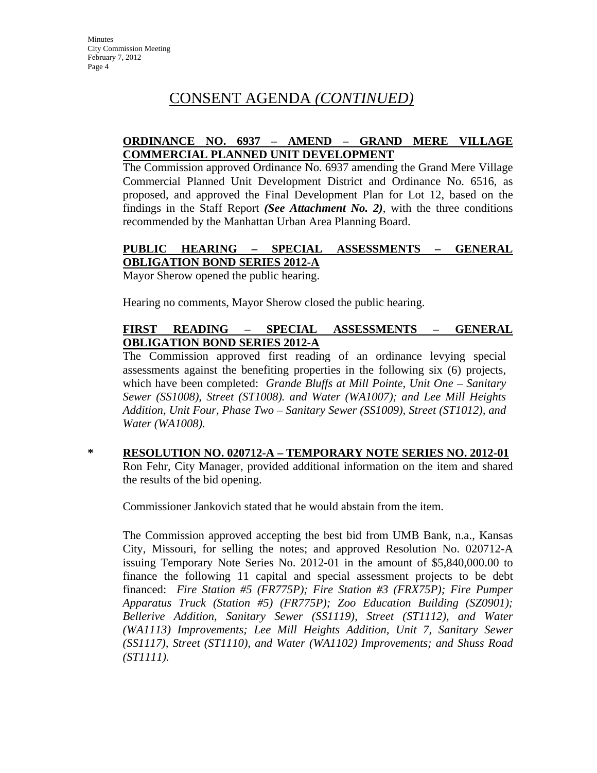# CONSENT AGENDA *(CONTINUED)*

#### **ORDINANCE NO. 6937 – AMEND – GRAND MERE VILLAGE COMMERCIAL PLANNED UNIT DEVELOPMENT**

The Commission approved Ordinance No. 6937 amending the Grand Mere Village Commercial Planned Unit Development District and Ordinance No. 6516, as proposed, and approved the Final Development Plan for Lot 12, based on the findings in the Staff Report *(See Attachment No. 2)*, with the three conditions recommended by the Manhattan Urban Area Planning Board.

## **PUBLIC HEARING – SPECIAL ASSESSMENTS – GENERAL OBLIGATION BOND SERIES 2012-A**

Mayor Sherow opened the public hearing.

Hearing no comments, Mayor Sherow closed the public hearing.

## **FIRST READING – SPECIAL ASSESSMENTS – GENERAL OBLIGATION BOND SERIES 2012-A**

The Commission approved first reading of an ordinance levying special assessments against the benefiting properties in the following six (6) projects, which have been completed: *Grande Bluffs at Mill Pointe, Unit One – Sanitary Sewer (SS1008), Street (ST1008). and Water (WA1007); and Lee Mill Heights Addition, Unit Four, Phase Two – Sanitary Sewer (SS1009), Street (ST1012), and Water (WA1008).* 

**\* RESOLUTION NO. 020712-A – TEMPORARY NOTE SERIES NO. 2012-01** Ron Fehr, City Manager, provided additional information on the item and shared the results of the bid opening.

Commissioner Jankovich stated that he would abstain from the item.

The Commission approved accepting the best bid from UMB Bank, n.a., Kansas City, Missouri, for selling the notes; and approved Resolution No. 020712-A issuing Temporary Note Series No. 2012-01 in the amount of \$5,840,000.00 to finance the following 11 capital and special assessment projects to be debt financed: *Fire Station #5 (FR775P); Fire Station #3 (FRX75P); Fire Pumper Apparatus Truck (Station #5) (FR775P); Zoo Education Building (SZ0901); Bellerive Addition, Sanitary Sewer (SS1119), Street (ST1112), and Water (WA1113) Improvements; Lee Mill Heights Addition, Unit 7, Sanitary Sewer (SS1117), Street (ST1110), and Water (WA1102) Improvements; and Shuss Road (ST1111).*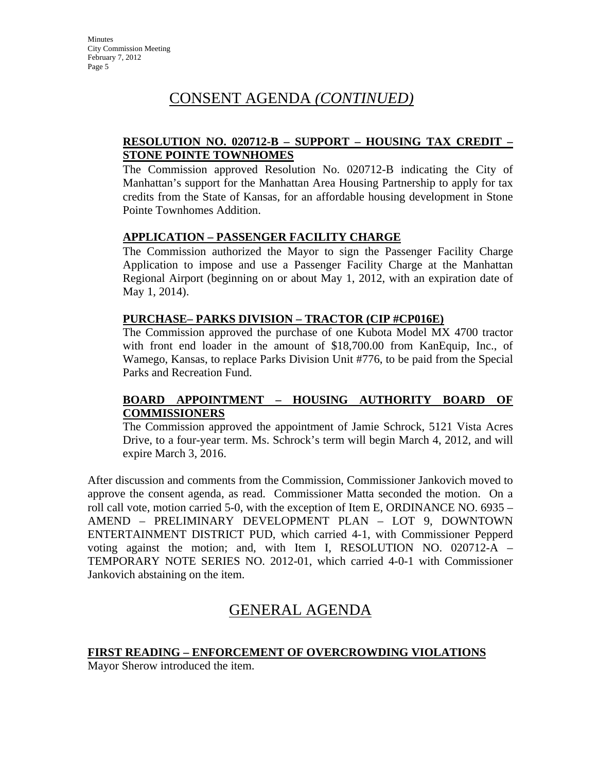# CONSENT AGENDA *(CONTINUED)*

## **RESOLUTION NO. 020712-B – SUPPORT – HOUSING TAX CREDIT – STONE POINTE TOWNHOMES**

The Commission approved Resolution No. 020712-B indicating the City of Manhattan's support for the Manhattan Area Housing Partnership to apply for tax credits from the State of Kansas, for an affordable housing development in Stone Pointe Townhomes Addition.

## **APPLICATION – PASSENGER FACILITY CHARGE**

The Commission authorized the Mayor to sign the Passenger Facility Charge Application to impose and use a Passenger Facility Charge at the Manhattan Regional Airport (beginning on or about May 1, 2012, with an expiration date of May 1, 2014).

#### **PURCHASE– PARKS DIVISION – TRACTOR (CIP #CP016E)**

The Commission approved the purchase of one Kubota Model MX 4700 tractor with front end loader in the amount of \$18,700.00 from KanEquip, Inc., of Wamego, Kansas, to replace Parks Division Unit #776, to be paid from the Special Parks and Recreation Fund.

#### **BOARD APPOINTMENT – HOUSING AUTHORITY BOARD OF COMMISSIONERS**

The Commission approved the appointment of Jamie Schrock, 5121 Vista Acres Drive, to a four-year term. Ms. Schrock's term will begin March 4, 2012, and will expire March 3, 2016.

After discussion and comments from the Commission, Commissioner Jankovich moved to approve the consent agenda, as read. Commissioner Matta seconded the motion. On a roll call vote, motion carried 5-0, with the exception of Item E, ORDINANCE NO. 6935 – AMEND – PRELIMINARY DEVELOPMENT PLAN – LOT 9, DOWNTOWN ENTERTAINMENT DISTRICT PUD, which carried 4-1, with Commissioner Pepperd voting against the motion; and, with Item I, RESOLUTION NO. 020712-A – TEMPORARY NOTE SERIES NO. 2012-01, which carried 4-0-1 with Commissioner Jankovich abstaining on the item.

# GENERAL AGENDA

## **FIRST READING – ENFORCEMENT OF OVERCROWDING VIOLATIONS**

Mayor Sherow introduced the item.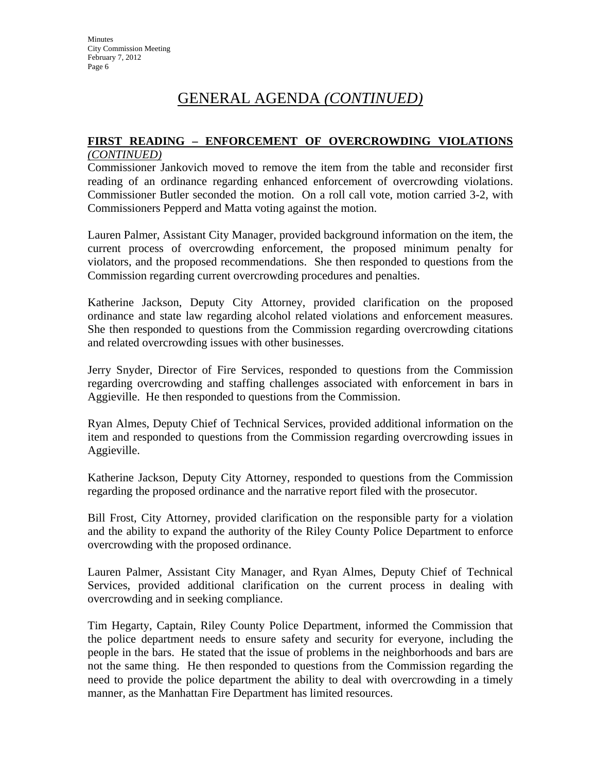#### **FIRST READING – ENFORCEMENT OF OVERCROWDING VIOLATIONS** *(CONTINUED)*

Commissioner Jankovich moved to remove the item from the table and reconsider first reading of an ordinance regarding enhanced enforcement of overcrowding violations. Commissioner Butler seconded the motion. On a roll call vote, motion carried 3-2, with Commissioners Pepperd and Matta voting against the motion.

Lauren Palmer, Assistant City Manager, provided background information on the item, the current process of overcrowding enforcement, the proposed minimum penalty for violators, and the proposed recommendations. She then responded to questions from the Commission regarding current overcrowding procedures and penalties.

Katherine Jackson, Deputy City Attorney, provided clarification on the proposed ordinance and state law regarding alcohol related violations and enforcement measures. She then responded to questions from the Commission regarding overcrowding citations and related overcrowding issues with other businesses.

Jerry Snyder, Director of Fire Services, responded to questions from the Commission regarding overcrowding and staffing challenges associated with enforcement in bars in Aggieville. He then responded to questions from the Commission.

Ryan Almes, Deputy Chief of Technical Services, provided additional information on the item and responded to questions from the Commission regarding overcrowding issues in Aggieville.

Katherine Jackson, Deputy City Attorney, responded to questions from the Commission regarding the proposed ordinance and the narrative report filed with the prosecutor.

Bill Frost, City Attorney, provided clarification on the responsible party for a violation and the ability to expand the authority of the Riley County Police Department to enforce overcrowding with the proposed ordinance.

Lauren Palmer, Assistant City Manager, and Ryan Almes, Deputy Chief of Technical Services, provided additional clarification on the current process in dealing with overcrowding and in seeking compliance.

Tim Hegarty, Captain, Riley County Police Department, informed the Commission that the police department needs to ensure safety and security for everyone, including the people in the bars. He stated that the issue of problems in the neighborhoods and bars are not the same thing. He then responded to questions from the Commission regarding the need to provide the police department the ability to deal with overcrowding in a timely manner, as the Manhattan Fire Department has limited resources.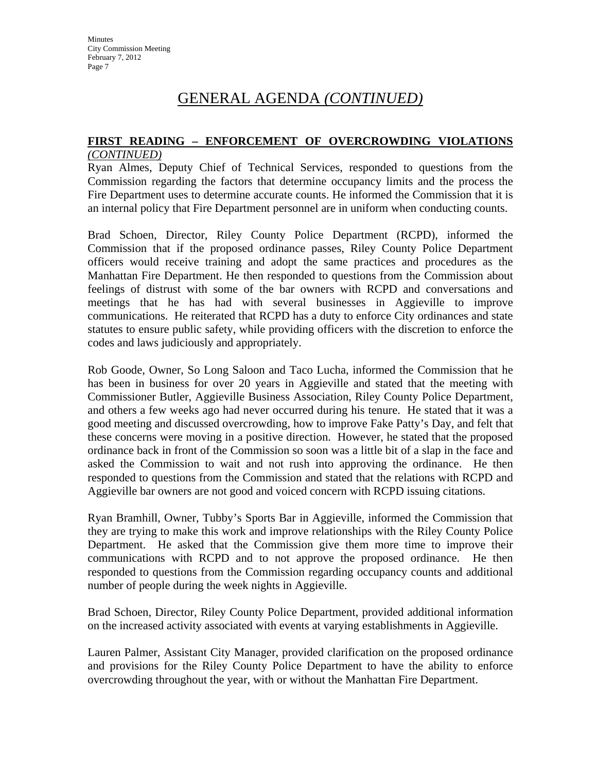#### **FIRST READING – ENFORCEMENT OF OVERCROWDING VIOLATIONS** *(CONTINUED)*

Ryan Almes, Deputy Chief of Technical Services, responded to questions from the Commission regarding the factors that determine occupancy limits and the process the Fire Department uses to determine accurate counts. He informed the Commission that it is an internal policy that Fire Department personnel are in uniform when conducting counts.

Brad Schoen, Director, Riley County Police Department (RCPD), informed the Commission that if the proposed ordinance passes, Riley County Police Department officers would receive training and adopt the same practices and procedures as the Manhattan Fire Department. He then responded to questions from the Commission about feelings of distrust with some of the bar owners with RCPD and conversations and meetings that he has had with several businesses in Aggieville to improve communications. He reiterated that RCPD has a duty to enforce City ordinances and state statutes to ensure public safety, while providing officers with the discretion to enforce the codes and laws judiciously and appropriately.

Rob Goode, Owner, So Long Saloon and Taco Lucha, informed the Commission that he has been in business for over 20 years in Aggieville and stated that the meeting with Commissioner Butler, Aggieville Business Association, Riley County Police Department, and others a few weeks ago had never occurred during his tenure. He stated that it was a good meeting and discussed overcrowding, how to improve Fake Patty's Day, and felt that these concerns were moving in a positive direction. However, he stated that the proposed ordinance back in front of the Commission so soon was a little bit of a slap in the face and asked the Commission to wait and not rush into approving the ordinance. He then responded to questions from the Commission and stated that the relations with RCPD and Aggieville bar owners are not good and voiced concern with RCPD issuing citations.

Ryan Bramhill, Owner, Tubby's Sports Bar in Aggieville, informed the Commission that they are trying to make this work and improve relationships with the Riley County Police Department. He asked that the Commission give them more time to improve their communications with RCPD and to not approve the proposed ordinance. He then responded to questions from the Commission regarding occupancy counts and additional number of people during the week nights in Aggieville.

Brad Schoen, Director, Riley County Police Department, provided additional information on the increased activity associated with events at varying establishments in Aggieville.

Lauren Palmer, Assistant City Manager, provided clarification on the proposed ordinance and provisions for the Riley County Police Department to have the ability to enforce overcrowding throughout the year, with or without the Manhattan Fire Department.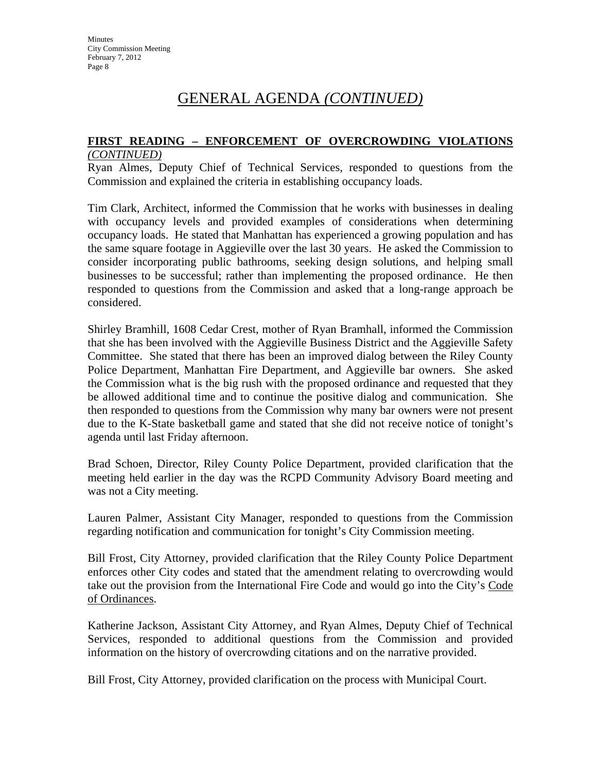#### **FIRST READING – ENFORCEMENT OF OVERCROWDING VIOLATIONS** *(CONTINUED)*

Ryan Almes, Deputy Chief of Technical Services, responded to questions from the Commission and explained the criteria in establishing occupancy loads.

Tim Clark, Architect, informed the Commission that he works with businesses in dealing with occupancy levels and provided examples of considerations when determining occupancy loads. He stated that Manhattan has experienced a growing population and has the same square footage in Aggieville over the last 30 years. He asked the Commission to consider incorporating public bathrooms, seeking design solutions, and helping small businesses to be successful; rather than implementing the proposed ordinance. He then responded to questions from the Commission and asked that a long-range approach be considered.

Shirley Bramhill, 1608 Cedar Crest, mother of Ryan Bramhall, informed the Commission that she has been involved with the Aggieville Business District and the Aggieville Safety Committee. She stated that there has been an improved dialog between the Riley County Police Department, Manhattan Fire Department, and Aggieville bar owners. She asked the Commission what is the big rush with the proposed ordinance and requested that they be allowed additional time and to continue the positive dialog and communication. She then responded to questions from the Commission why many bar owners were not present due to the K-State basketball game and stated that she did not receive notice of tonight's agenda until last Friday afternoon.

Brad Schoen, Director, Riley County Police Department, provided clarification that the meeting held earlier in the day was the RCPD Community Advisory Board meeting and was not a City meeting.

Lauren Palmer, Assistant City Manager, responded to questions from the Commission regarding notification and communication for tonight's City Commission meeting.

Bill Frost, City Attorney, provided clarification that the Riley County Police Department enforces other City codes and stated that the amendment relating to overcrowding would take out the provision from the International Fire Code and would go into the City's Code of Ordinances.

Katherine Jackson, Assistant City Attorney, and Ryan Almes, Deputy Chief of Technical Services, responded to additional questions from the Commission and provided information on the history of overcrowding citations and on the narrative provided.

Bill Frost, City Attorney, provided clarification on the process with Municipal Court.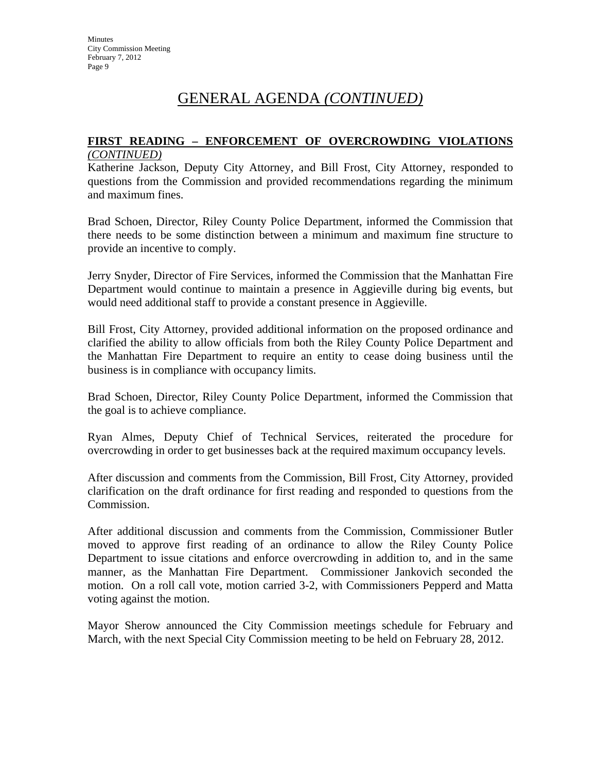#### **FIRST READING – ENFORCEMENT OF OVERCROWDING VIOLATIONS** *(CONTINUED)*

Katherine Jackson, Deputy City Attorney, and Bill Frost, City Attorney, responded to questions from the Commission and provided recommendations regarding the minimum and maximum fines.

Brad Schoen, Director, Riley County Police Department, informed the Commission that there needs to be some distinction between a minimum and maximum fine structure to provide an incentive to comply.

Jerry Snyder, Director of Fire Services, informed the Commission that the Manhattan Fire Department would continue to maintain a presence in Aggieville during big events, but would need additional staff to provide a constant presence in Aggieville.

Bill Frost, City Attorney, provided additional information on the proposed ordinance and clarified the ability to allow officials from both the Riley County Police Department and the Manhattan Fire Department to require an entity to cease doing business until the business is in compliance with occupancy limits.

Brad Schoen, Director, Riley County Police Department, informed the Commission that the goal is to achieve compliance.

Ryan Almes, Deputy Chief of Technical Services, reiterated the procedure for overcrowding in order to get businesses back at the required maximum occupancy levels.

After discussion and comments from the Commission, Bill Frost, City Attorney, provided clarification on the draft ordinance for first reading and responded to questions from the Commission.

After additional discussion and comments from the Commission, Commissioner Butler moved to approve first reading of an ordinance to allow the Riley County Police Department to issue citations and enforce overcrowding in addition to, and in the same manner, as the Manhattan Fire Department. Commissioner Jankovich seconded the motion. On a roll call vote, motion carried 3-2, with Commissioners Pepperd and Matta voting against the motion.

Mayor Sherow announced the City Commission meetings schedule for February and March, with the next Special City Commission meeting to be held on February 28, 2012.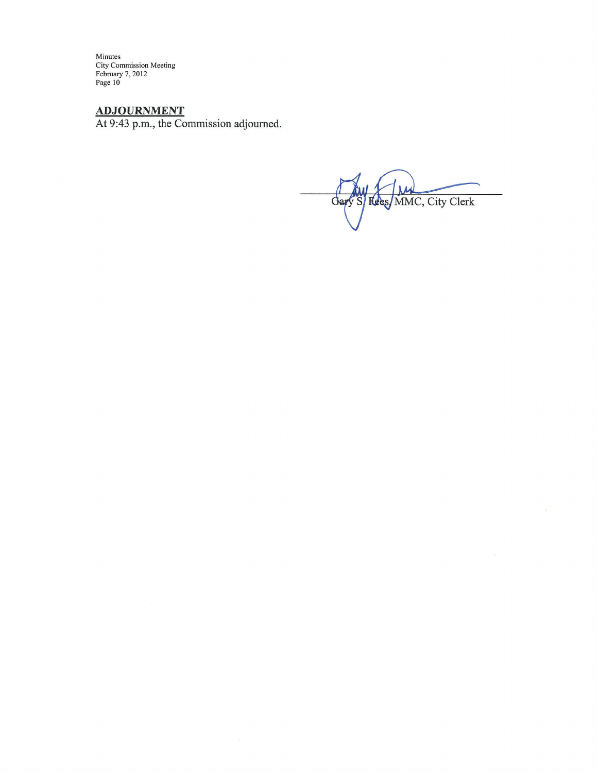**ADJOURNMENT**<br>At 9:43 p.m., the Commission adjourned.

Gary S/ Fees/MMC, City Clerk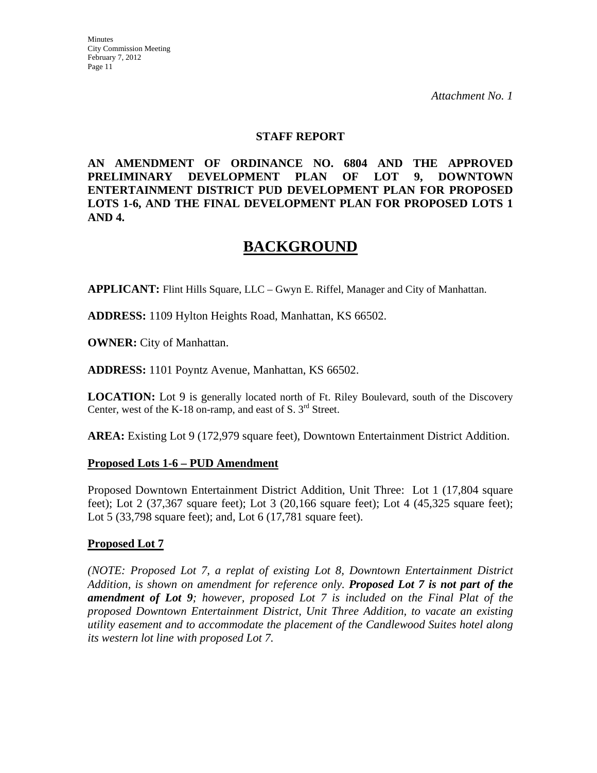#### **STAFF REPORT**

**AN AMENDMENT OF ORDINANCE NO. 6804 AND THE APPROVED PRELIMINARY DEVELOPMENT PLAN OF LOT 9, DOWNTOWN ENTERTAINMENT DISTRICT PUD DEVELOPMENT PLAN FOR PROPOSED LOTS 1-6, AND THE FINAL DEVELOPMENT PLAN FOR PROPOSED LOTS 1 AND 4.** 

# **BACKGROUND**

**APPLICANT:** Flint Hills Square, LLC – Gwyn E. Riffel, Manager and City of Manhattan.

**ADDRESS:** 1109 Hylton Heights Road, Manhattan, KS 66502.

**OWNER:** City of Manhattan.

**ADDRESS:** 1101 Poyntz Avenue, Manhattan, KS 66502.

**LOCATION:** Lot 9 is generally located north of Ft. Riley Boulevard, south of the Discovery Center, west of the K-18 on-ramp, and east of S.  $3<sup>rd</sup>$  Street.

**AREA:** Existing Lot 9 (172,979 square feet), Downtown Entertainment District Addition.

#### **Proposed Lots 1-6 – PUD Amendment**

Proposed Downtown Entertainment District Addition, Unit Three: Lot 1 (17,804 square feet); Lot 2 (37,367 square feet); Lot 3 (20,166 square feet); Lot 4 (45,325 square feet); Lot 5 (33,798 square feet); and, Lot 6 (17,781 square feet).

#### **Proposed Lot 7**

*(NOTE: Proposed Lot 7, a replat of existing Lot 8, Downtown Entertainment District Addition, is shown on amendment for reference only. Proposed Lot 7 is not part of the amendment of Lot 9; however, proposed Lot 7 is included on the Final Plat of the proposed Downtown Entertainment District, Unit Three Addition, to vacate an existing utility easement and to accommodate the placement of the Candlewood Suites hotel along its western lot line with proposed Lot 7.*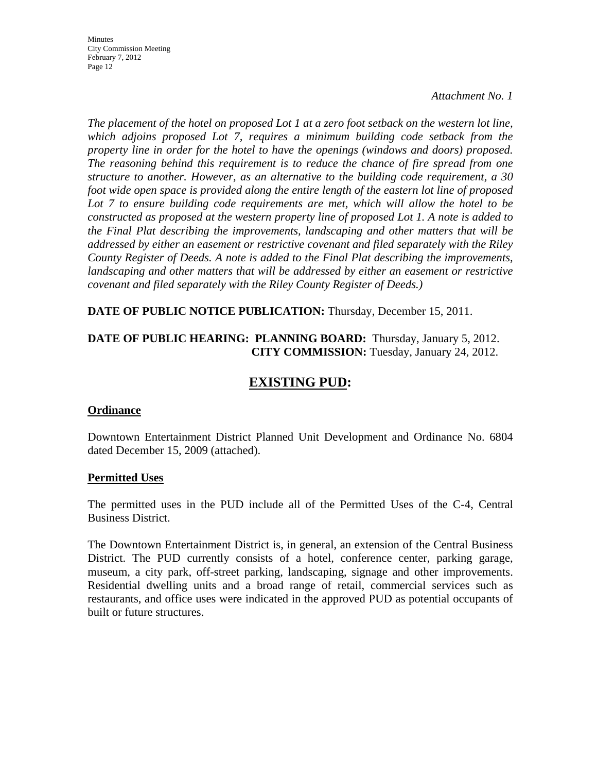*Attachment No. 1*

*The placement of the hotel on proposed Lot 1 at a zero foot setback on the western lot line, which adjoins proposed Lot 7, requires a minimum building code setback from the property line in order for the hotel to have the openings (windows and doors) proposed. The reasoning behind this requirement is to reduce the chance of fire spread from one structure to another. However, as an alternative to the building code requirement, a 30 foot wide open space is provided along the entire length of the eastern lot line of proposed Lot 7 to ensure building code requirements are met, which will allow the hotel to be constructed as proposed at the western property line of proposed Lot 1. A note is added to the Final Plat describing the improvements, landscaping and other matters that will be addressed by either an easement or restrictive covenant and filed separately with the Riley County Register of Deeds. A note is added to the Final Plat describing the improvements,*  landscaping and other matters that will be addressed by either an easement or restrictive *covenant and filed separately with the Riley County Register of Deeds.)* 

**DATE OF PUBLIC NOTICE PUBLICATION:** Thursday, December 15, 2011.

#### **DATE OF PUBLIC HEARING: PLANNING BOARD:** Thursday, January 5, 2012. **CITY COMMISSION:** Tuesday, January 24, 2012.

## **EXISTING PUD:**

#### **Ordinance**

Downtown Entertainment District Planned Unit Development and Ordinance No. 6804 dated December 15, 2009 (attached).

#### **Permitted Uses**

The permitted uses in the PUD include all of the Permitted Uses of the C-4, Central Business District.

The Downtown Entertainment District is, in general, an extension of the Central Business District. The PUD currently consists of a hotel, conference center, parking garage, museum, a city park, off-street parking, landscaping, signage and other improvements. Residential dwelling units and a broad range of retail, commercial services such as restaurants, and office uses were indicated in the approved PUD as potential occupants of built or future structures.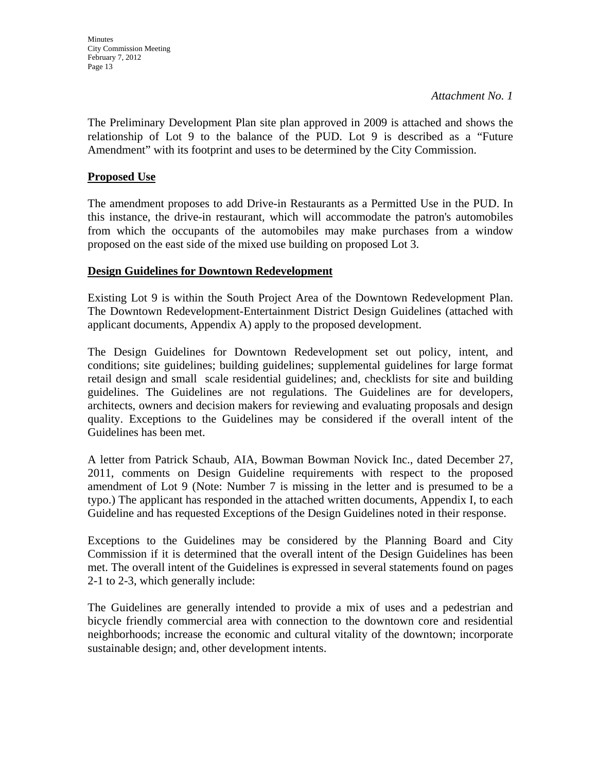*Attachment No. 1*

The Preliminary Development Plan site plan approved in 2009 is attached and shows the relationship of Lot 9 to the balance of the PUD. Lot 9 is described as a "Future Amendment" with its footprint and uses to be determined by the City Commission.

## **Proposed Use**

The amendment proposes to add Drive-in Restaurants as a Permitted Use in the PUD. In this instance, the drive-in restaurant, which will accommodate the patron's automobiles from which the occupants of the automobiles may make purchases from a window proposed on the east side of the mixed use building on proposed Lot 3.

#### **Design Guidelines for Downtown Redevelopment**

Existing Lot 9 is within the South Project Area of the Downtown Redevelopment Plan. The Downtown Redevelopment-Entertainment District Design Guidelines (attached with applicant documents, Appendix A) apply to the proposed development.

The Design Guidelines for Downtown Redevelopment set out policy, intent, and conditions; site guidelines; building guidelines; supplemental guidelines for large format retail design and small scale residential guidelines; and, checklists for site and building guidelines. The Guidelines are not regulations. The Guidelines are for developers, architects, owners and decision makers for reviewing and evaluating proposals and design quality. Exceptions to the Guidelines may be considered if the overall intent of the Guidelines has been met.

A letter from Patrick Schaub, AIA, Bowman Bowman Novick Inc., dated December 27, 2011, comments on Design Guideline requirements with respect to the proposed amendment of Lot 9 (Note: Number 7 is missing in the letter and is presumed to be a typo.) The applicant has responded in the attached written documents, Appendix I, to each Guideline and has requested Exceptions of the Design Guidelines noted in their response.

Exceptions to the Guidelines may be considered by the Planning Board and City Commission if it is determined that the overall intent of the Design Guidelines has been met. The overall intent of the Guidelines is expressed in several statements found on pages 2-1 to 2-3, which generally include:

The Guidelines are generally intended to provide a mix of uses and a pedestrian and bicycle friendly commercial area with connection to the downtown core and residential neighborhoods; increase the economic and cultural vitality of the downtown; incorporate sustainable design; and, other development intents.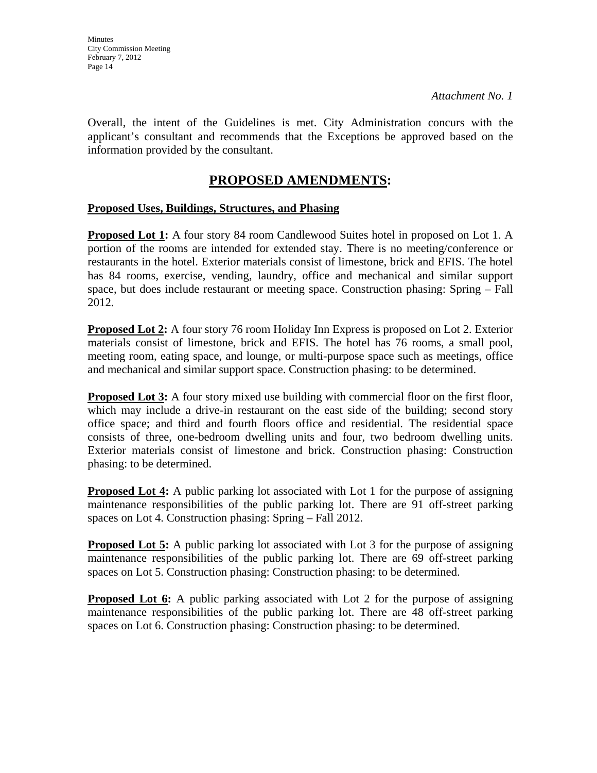Overall, the intent of the Guidelines is met. City Administration concurs with the applicant's consultant and recommends that the Exceptions be approved based on the information provided by the consultant.

## **PROPOSED AMENDMENTS:**

#### **Proposed Uses, Buildings, Structures, and Phasing**

**Proposed Lot 1:** A four story 84 room Candlewood Suites hotel in proposed on Lot 1. A portion of the rooms are intended for extended stay. There is no meeting/conference or restaurants in the hotel. Exterior materials consist of limestone, brick and EFIS. The hotel has 84 rooms, exercise, vending, laundry, office and mechanical and similar support space, but does include restaurant or meeting space. Construction phasing: Spring – Fall 2012.

**Proposed Lot 2:** A four story 76 room Holiday Inn Express is proposed on Lot 2. Exterior materials consist of limestone, brick and EFIS. The hotel has 76 rooms, a small pool, meeting room, eating space, and lounge, or multi-purpose space such as meetings, office and mechanical and similar support space. Construction phasing: to be determined.

**Proposed Lot 3:** A four story mixed use building with commercial floor on the first floor, which may include a drive-in restaurant on the east side of the building; second story office space; and third and fourth floors office and residential. The residential space consists of three, one-bedroom dwelling units and four, two bedroom dwelling units. Exterior materials consist of limestone and brick. Construction phasing: Construction phasing: to be determined.

**Proposed Lot 4:** A public parking lot associated with Lot 1 for the purpose of assigning maintenance responsibilities of the public parking lot. There are 91 off-street parking spaces on Lot 4. Construction phasing: Spring – Fall 2012.

**Proposed Lot 5:** A public parking lot associated with Lot 3 for the purpose of assigning maintenance responsibilities of the public parking lot. There are 69 off-street parking spaces on Lot 5. Construction phasing: Construction phasing: to be determined.

**Proposed Lot 6:** A public parking associated with Lot 2 for the purpose of assigning maintenance responsibilities of the public parking lot. There are 48 off-street parking spaces on Lot 6. Construction phasing: Construction phasing: to be determined.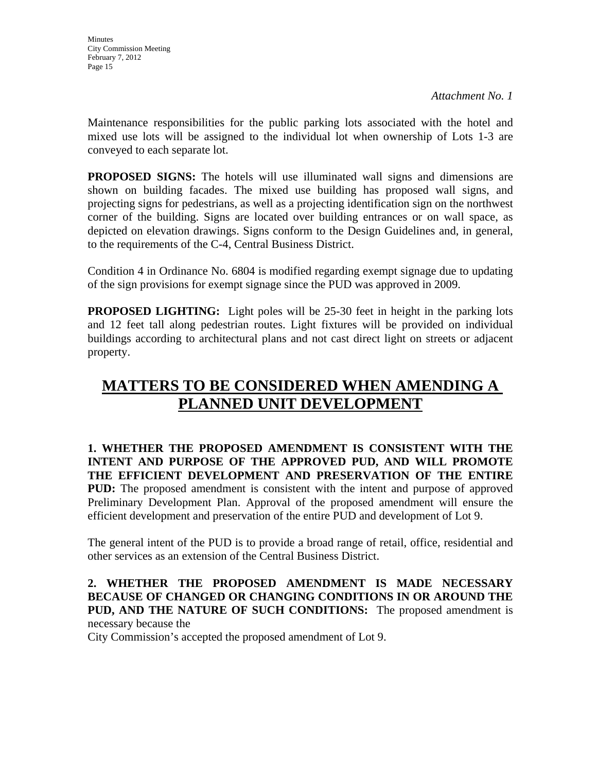Maintenance responsibilities for the public parking lots associated with the hotel and mixed use lots will be assigned to the individual lot when ownership of Lots 1-3 are conveyed to each separate lot.

**PROPOSED SIGNS:** The hotels will use illuminated wall signs and dimensions are shown on building facades. The mixed use building has proposed wall signs, and projecting signs for pedestrians, as well as a projecting identification sign on the northwest corner of the building. Signs are located over building entrances or on wall space, as depicted on elevation drawings. Signs conform to the Design Guidelines and, in general, to the requirements of the C-4, Central Business District.

Condition 4 in Ordinance No. 6804 is modified regarding exempt signage due to updating of the sign provisions for exempt signage since the PUD was approved in 2009.

**PROPOSED LIGHTING:** Light poles will be 25-30 feet in height in the parking lots and 12 feet tall along pedestrian routes. Light fixtures will be provided on individual buildings according to architectural plans and not cast direct light on streets or adjacent property.

# **MATTERS TO BE CONSIDERED WHEN AMENDING A PLANNED UNIT DEVELOPMENT**

**1. WHETHER THE PROPOSED AMENDMENT IS CONSISTENT WITH THE INTENT AND PURPOSE OF THE APPROVED PUD, AND WILL PROMOTE THE EFFICIENT DEVELOPMENT AND PRESERVATION OF THE ENTIRE PUD:** The proposed amendment is consistent with the intent and purpose of approved Preliminary Development Plan. Approval of the proposed amendment will ensure the efficient development and preservation of the entire PUD and development of Lot 9.

The general intent of the PUD is to provide a broad range of retail, office, residential and other services as an extension of the Central Business District.

**2. WHETHER THE PROPOSED AMENDMENT IS MADE NECESSARY BECAUSE OF CHANGED OR CHANGING CONDITIONS IN OR AROUND THE PUD, AND THE NATURE OF SUCH CONDITIONS:** The proposed amendment is necessary because the

City Commission's accepted the proposed amendment of Lot 9.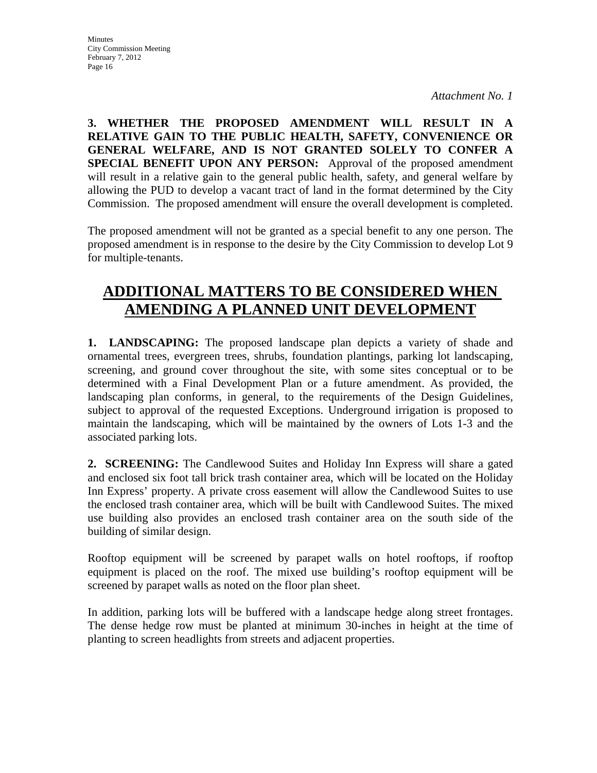**3. WHETHER THE PROPOSED AMENDMENT WILL RESULT IN A RELATIVE GAIN TO THE PUBLIC HEALTH, SAFETY, CONVENIENCE OR GENERAL WELFARE, AND IS NOT GRANTED SOLELY TO CONFER A SPECIAL BENEFIT UPON ANY PERSON:** Approval of the proposed amendment will result in a relative gain to the general public health, safety, and general welfare by allowing the PUD to develop a vacant tract of land in the format determined by the City Commission. The proposed amendment will ensure the overall development is completed.

The proposed amendment will not be granted as a special benefit to any one person. The proposed amendment is in response to the desire by the City Commission to develop Lot 9 for multiple-tenants.

# **ADDITIONAL MATTERS TO BE CONSIDERED WHEN AMENDING A PLANNED UNIT DEVELOPMENT**

**1. LANDSCAPING:** The proposed landscape plan depicts a variety of shade and ornamental trees, evergreen trees, shrubs, foundation plantings, parking lot landscaping, screening, and ground cover throughout the site, with some sites conceptual or to be determined with a Final Development Plan or a future amendment. As provided, the landscaping plan conforms, in general, to the requirements of the Design Guidelines, subject to approval of the requested Exceptions. Underground irrigation is proposed to maintain the landscaping, which will be maintained by the owners of Lots 1-3 and the associated parking lots.

**2. SCREENING:** The Candlewood Suites and Holiday Inn Express will share a gated and enclosed six foot tall brick trash container area, which will be located on the Holiday Inn Express' property. A private cross easement will allow the Candlewood Suites to use the enclosed trash container area, which will be built with Candlewood Suites. The mixed use building also provides an enclosed trash container area on the south side of the building of similar design.

Rooftop equipment will be screened by parapet walls on hotel rooftops, if rooftop equipment is placed on the roof. The mixed use building's rooftop equipment will be screened by parapet walls as noted on the floor plan sheet.

In addition, parking lots will be buffered with a landscape hedge along street frontages. The dense hedge row must be planted at minimum 30-inches in height at the time of planting to screen headlights from streets and adjacent properties.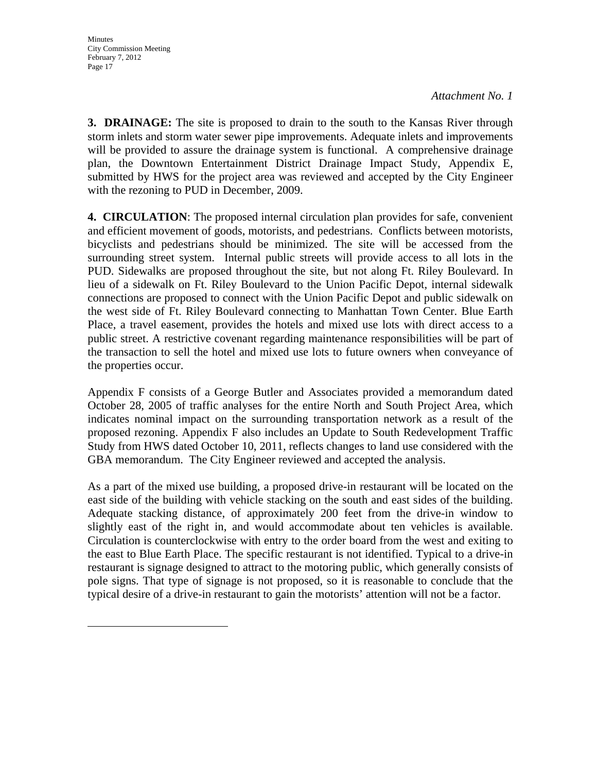**3. DRAINAGE:** The site is proposed to drain to the south to the Kansas River through storm inlets and storm water sewer pipe improvements. Adequate inlets and improvements will be provided to assure the drainage system is functional. A comprehensive drainage plan, the Downtown Entertainment District Drainage Impact Study, Appendix E, submitted by HWS for the project area was reviewed and accepted by the City Engineer with the rezoning to PUD in December, 2009.

**4. CIRCULATION**: The proposed internal circulation plan provides for safe, convenient and efficient movement of goods, motorists, and pedestrians. Conflicts between motorists, bicyclists and pedestrians should be minimized. The site will be accessed from the surrounding street system. Internal public streets will provide access to all lots in the PUD. Sidewalks are proposed throughout the site, but not along Ft. Riley Boulevard. In lieu of a sidewalk on Ft. Riley Boulevard to the Union Pacific Depot, internal sidewalk connections are proposed to connect with the Union Pacific Depot and public sidewalk on the west side of Ft. Riley Boulevard connecting to Manhattan Town Center. Blue Earth Place, a travel easement, provides the hotels and mixed use lots with direct access to a public street. A restrictive covenant regarding maintenance responsibilities will be part of the transaction to sell the hotel and mixed use lots to future owners when conveyance of the properties occur.

Appendix F consists of a George Butler and Associates provided a memorandum dated October 28, 2005 of traffic analyses for the entire North and South Project Area, which indicates nominal impact on the surrounding transportation network as a result of the proposed rezoning. Appendix F also includes an Update to South Redevelopment Traffic Study from HWS dated October 10, 2011, reflects changes to land use considered with the GBA memorandum. The City Engineer reviewed and accepted the analysis.

As a part of the mixed use building, a proposed drive-in restaurant will be located on the east side of the building with vehicle stacking on the south and east sides of the building. Adequate stacking distance, of approximately 200 feet from the drive-in window to slightly east of the right in, and would accommodate about ten vehicles is available. Circulation is counterclockwise with entry to the order board from the west and exiting to the east to Blue Earth Place. The specific restaurant is not identified. Typical to a drive-in restaurant is signage designed to attract to the motoring public, which generally consists of pole signs. That type of signage is not proposed, so it is reasonable to conclude that the typical desire of a drive-in restaurant to gain the motorists' attention will not be a factor.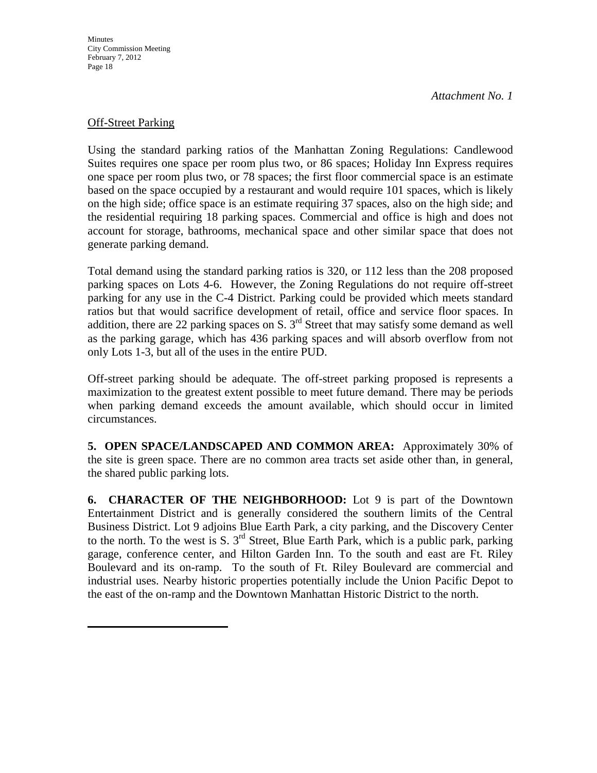**Minutes** 

*Attachment No. 1*

#### Off-Street Parking

Using the standard parking ratios of the Manhattan Zoning Regulations: Candlewood Suites requires one space per room plus two, or 86 spaces; Holiday Inn Express requires one space per room plus two, or 78 spaces; the first floor commercial space is an estimate based on the space occupied by a restaurant and would require 101 spaces, which is likely on the high side; office space is an estimate requiring 37 spaces, also on the high side; and the residential requiring 18 parking spaces. Commercial and office is high and does not account for storage, bathrooms, mechanical space and other similar space that does not generate parking demand.

Total demand using the standard parking ratios is 320, or 112 less than the 208 proposed parking spaces on Lots 4-6. However, the Zoning Regulations do not require off-street parking for any use in the C-4 District. Parking could be provided which meets standard ratios but that would sacrifice development of retail, office and service floor spaces. In addition, there are 22 parking spaces on S.  $3<sup>rd</sup>$  Street that may satisfy some demand as well as the parking garage, which has 436 parking spaces and will absorb overflow from not only Lots 1-3, but all of the uses in the entire PUD.

Off-street parking should be adequate. The off-street parking proposed is represents a maximization to the greatest extent possible to meet future demand. There may be periods when parking demand exceeds the amount available, which should occur in limited circumstances.

**5. OPEN SPACE/LANDSCAPED AND COMMON AREA:** Approximately 30% of the site is green space. There are no common area tracts set aside other than, in general, the shared public parking lots.

**6. CHARACTER OF THE NEIGHBORHOOD:** Lot 9 is part of the Downtown Entertainment District and is generally considered the southern limits of the Central Business District. Lot 9 adjoins Blue Earth Park, a city parking, and the Discovery Center to the north. To the west is S.  $3<sup>rd</sup>$  Street, Blue Earth Park, which is a public park, parking garage, conference center, and Hilton Garden Inn. To the south and east are Ft. Riley Boulevard and its on-ramp. To the south of Ft. Riley Boulevard are commercial and industrial uses. Nearby historic properties potentially include the Union Pacific Depot to the east of the on-ramp and the Downtown Manhattan Historic District to the north.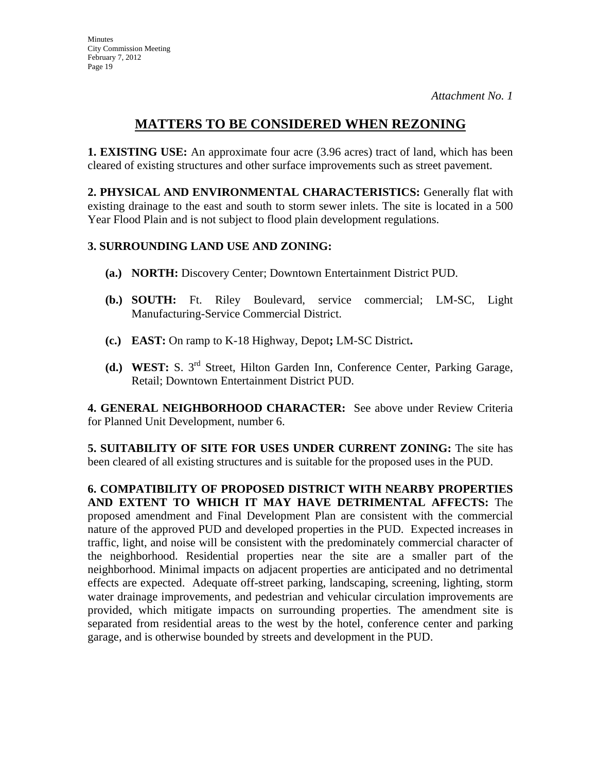## **MATTERS TO BE CONSIDERED WHEN REZONING**

**1. EXISTING USE:** An approximate four acre (3.96 acres) tract of land, which has been cleared of existing structures and other surface improvements such as street pavement.

**2. PHYSICAL AND ENVIRONMENTAL CHARACTERISTICS:** Generally flat with existing drainage to the east and south to storm sewer inlets. The site is located in a 500 Year Flood Plain and is not subject to flood plain development regulations.

## **3. SURROUNDING LAND USE AND ZONING:**

- **(a.) NORTH:** Discovery Center; Downtown Entertainment District PUD.
- **(b.) SOUTH:** Ft. Riley Boulevard, service commercial; LM-SC, Light Manufacturing-Service Commercial District.
- **(c.) EAST:** On ramp to K-18 Highway, Depot**;** LM-SC District**.**
- **(d.) WEST:** S. 3rd Street, Hilton Garden Inn, Conference Center, Parking Garage, Retail; Downtown Entertainment District PUD.

**4. GENERAL NEIGHBORHOOD CHARACTER:** See above under Review Criteria for Planned Unit Development, number 6.

**5. SUITABILITY OF SITE FOR USES UNDER CURRENT ZONING:** The site has been cleared of all existing structures and is suitable for the proposed uses in the PUD.

**6. COMPATIBILITY OF PROPOSED DISTRICT WITH NEARBY PROPERTIES AND EXTENT TO WHICH IT MAY HAVE DETRIMENTAL AFFECTS:** The proposed amendment and Final Development Plan are consistent with the commercial nature of the approved PUD and developed properties in the PUD. Expected increases in traffic, light, and noise will be consistent with the predominately commercial character of the neighborhood. Residential properties near the site are a smaller part of the neighborhood. Minimal impacts on adjacent properties are anticipated and no detrimental effects are expected. Adequate off-street parking, landscaping, screening, lighting, storm water drainage improvements, and pedestrian and vehicular circulation improvements are provided, which mitigate impacts on surrounding properties. The amendment site is separated from residential areas to the west by the hotel, conference center and parking garage, and is otherwise bounded by streets and development in the PUD.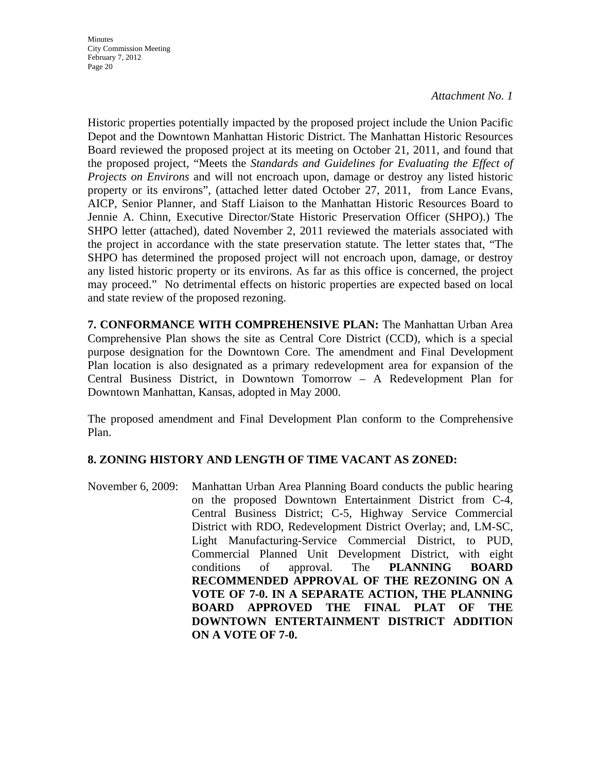*Attachment No. 1*

Historic properties potentially impacted by the proposed project include the Union Pacific Depot and the Downtown Manhattan Historic District. The Manhattan Historic Resources Board reviewed the proposed project at its meeting on October 21, 2011, and found that the proposed project, "Meets the *Standards and Guidelines for Evaluating the Effect of Projects on Environs* and will not encroach upon, damage or destroy any listed historic property or its environs", (attached letter dated October 27, 2011, from Lance Evans, AICP, Senior Planner, and Staff Liaison to the Manhattan Historic Resources Board to Jennie A. Chinn, Executive Director/State Historic Preservation Officer (SHPO).) The SHPO letter (attached), dated November 2, 2011 reviewed the materials associated with the project in accordance with the state preservation statute. The letter states that, "The SHPO has determined the proposed project will not encroach upon, damage, or destroy any listed historic property or its environs. As far as this office is concerned, the project may proceed." No detrimental effects on historic properties are expected based on local and state review of the proposed rezoning.

**7. CONFORMANCE WITH COMPREHENSIVE PLAN:** The Manhattan Urban Area Comprehensive Plan shows the site as Central Core District (CCD), which is a special purpose designation for the Downtown Core. The amendment and Final Development Plan location is also designated as a primary redevelopment area for expansion of the Central Business District, in Downtown Tomorrow – A Redevelopment Plan for Downtown Manhattan, Kansas, adopted in May 2000.

The proposed amendment and Final Development Plan conform to the Comprehensive Plan.

#### **8. ZONING HISTORY AND LENGTH OF TIME VACANT AS ZONED:**

November 6, 2009: Manhattan Urban Area Planning Board conducts the public hearing on the proposed Downtown Entertainment District from C-4, Central Business District; C-5, Highway Service Commercial District with RDO, Redevelopment District Overlay; and, LM-SC, Light Manufacturing-Service Commercial District, to PUD, Commercial Planned Unit Development District, with eight conditions of approval. The **PLANNING BOARD RECOMMENDED APPROVAL OF THE REZONING ON A VOTE OF 7-0. IN A SEPARATE ACTION, THE PLANNING BOARD APPROVED THE FINAL PLAT OF THE DOWNTOWN ENTERTAINMENT DISTRICT ADDITION ON A VOTE OF 7-0.**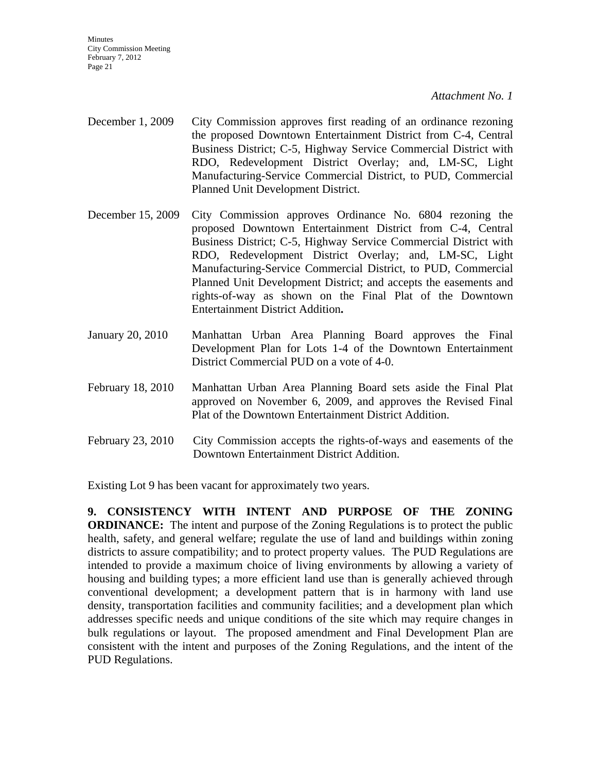*Attachment No. 1*

- December 1, 2009 City Commission approves first reading of an ordinance rezoning the proposed Downtown Entertainment District from C-4, Central Business District; C-5, Highway Service Commercial District with RDO, Redevelopment District Overlay; and, LM-SC, Light Manufacturing-Service Commercial District, to PUD, Commercial Planned Unit Development District.
- December 15, 2009 City Commission approves Ordinance No. 6804 rezoning the proposed Downtown Entertainment District from C-4, Central Business District; C-5, Highway Service Commercial District with RDO, Redevelopment District Overlay; and, LM-SC, Light Manufacturing-Service Commercial District, to PUD, Commercial Planned Unit Development District; and accepts the easements and rights-of-way as shown on the Final Plat of the Downtown Entertainment District Addition**.**
- January 20, 2010 Manhattan Urban Area Planning Board approves the Final Development Plan for Lots 1-4 of the Downtown Entertainment District Commercial PUD on a vote of 4-0.
- February 18, 2010 Manhattan Urban Area Planning Board sets aside the Final Plat approved on November 6, 2009, and approves the Revised Final Plat of the Downtown Entertainment District Addition.
- February 23, 2010 City Commission accepts the rights-of-ways and easements of the Downtown Entertainment District Addition.

Existing Lot 9 has been vacant for approximately two years.

**9. CONSISTENCY WITH INTENT AND PURPOSE OF THE ZONING ORDINANCE:** The intent and purpose of the Zoning Regulations is to protect the public health, safety, and general welfare; regulate the use of land and buildings within zoning districts to assure compatibility; and to protect property values. The PUD Regulations are intended to provide a maximum choice of living environments by allowing a variety of housing and building types; a more efficient land use than is generally achieved through conventional development; a development pattern that is in harmony with land use density, transportation facilities and community facilities; and a development plan which addresses specific needs and unique conditions of the site which may require changes in bulk regulations or layout. The proposed amendment and Final Development Plan are consistent with the intent and purposes of the Zoning Regulations, and the intent of the PUD Regulations.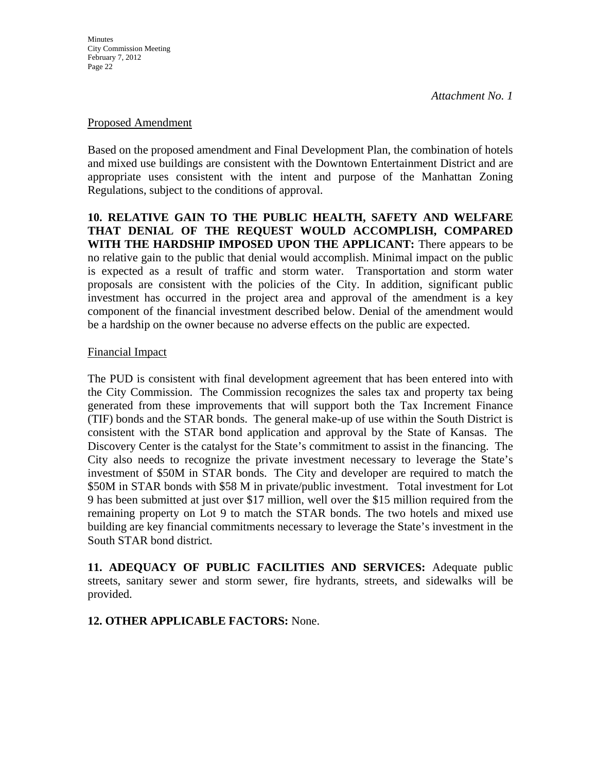#### Proposed Amendment

Based on the proposed amendment and Final Development Plan, the combination of hotels and mixed use buildings are consistent with the Downtown Entertainment District and are appropriate uses consistent with the intent and purpose of the Manhattan Zoning Regulations, subject to the conditions of approval.

**10. RELATIVE GAIN TO THE PUBLIC HEALTH, SAFETY AND WELFARE THAT DENIAL OF THE REQUEST WOULD ACCOMPLISH, COMPARED WITH THE HARDSHIP IMPOSED UPON THE APPLICANT:** There appears to be no relative gain to the public that denial would accomplish. Minimal impact on the public is expected as a result of traffic and storm water. Transportation and storm water proposals are consistent with the policies of the City. In addition, significant public investment has occurred in the project area and approval of the amendment is a key component of the financial investment described below. Denial of the amendment would be a hardship on the owner because no adverse effects on the public are expected.

#### Financial Impact

The PUD is consistent with final development agreement that has been entered into with the City Commission. The Commission recognizes the sales tax and property tax being generated from these improvements that will support both the Tax Increment Finance (TIF) bonds and the STAR bonds. The general make-up of use within the South District is consistent with the STAR bond application and approval by the State of Kansas. The Discovery Center is the catalyst for the State's commitment to assist in the financing. The City also needs to recognize the private investment necessary to leverage the State's investment of \$50M in STAR bonds. The City and developer are required to match the \$50M in STAR bonds with \$58 M in private/public investment. Total investment for Lot 9 has been submitted at just over \$17 million, well over the \$15 million required from the remaining property on Lot 9 to match the STAR bonds. The two hotels and mixed use building are key financial commitments necessary to leverage the State's investment in the South STAR bond district.

**11. ADEQUACY OF PUBLIC FACILITIES AND SERVICES:** Adequate public streets, sanitary sewer and storm sewer, fire hydrants, streets, and sidewalks will be provided.

#### **12. OTHER APPLICABLE FACTORS:** None.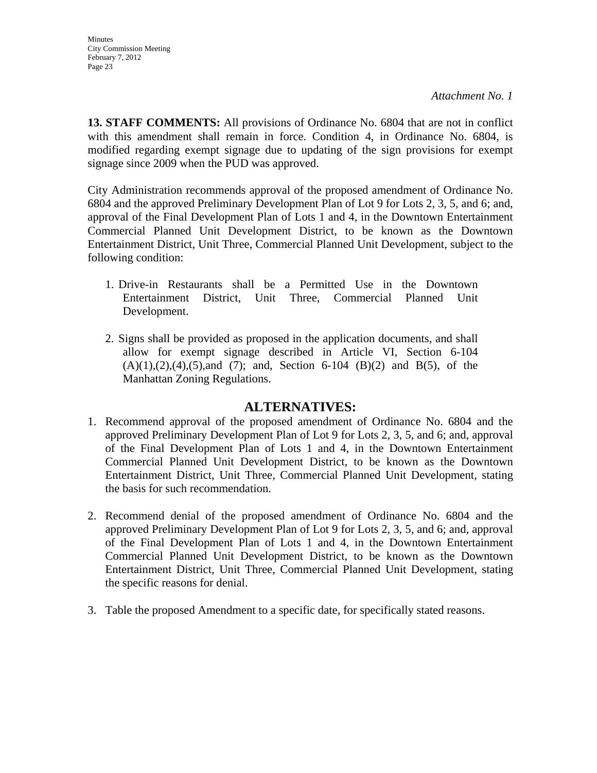**13. STAFF COMMENTS:** All provisions of Ordinance No. 6804 that are not in conflict with this amendment shall remain in force. Condition 4, in Ordinance No. 6804, is modified regarding exempt signage due to updating of the sign provisions for exempt signage since 2009 when the PUD was approved.

City Administration recommends approval of the proposed amendment of Ordinance No. 6804 and the approved Preliminary Development Plan of Lot 9 for Lots 2, 3, 5, and 6; and, approval of the Final Development Plan of Lots 1 and 4, in the Downtown Entertainment Commercial Planned Unit Development District, to be known as the Downtown Entertainment District, Unit Three, Commercial Planned Unit Development, subject to the following condition:

- 1. Drive-in Restaurants shall be a Permitted Use in the Downtown Entertainment District, Unit Three, Commercial Planned Unit Development.
- 2. Signs shall be provided as proposed in the application documents, and shall allow for exempt signage described in Article VI, Section 6-104  $(A)(1),(2),(4),(5)$ ,and  $(7)$ ; and, Section 6-104  $(B)(2)$  and  $B(5)$ , of the Manhattan Zoning Regulations.

## **ALTERNATIVES:**

- 1. Recommend approval of the proposed amendment of Ordinance No. 6804 and the approved Preliminary Development Plan of Lot 9 for Lots 2, 3, 5, and 6; and, approval of the Final Development Plan of Lots 1 and 4, in the Downtown Entertainment Commercial Planned Unit Development District, to be known as the Downtown Entertainment District, Unit Three, Commercial Planned Unit Development, stating the basis for such recommendation.
- 2. Recommend denial of the proposed amendment of Ordinance No. 6804 and the approved Preliminary Development Plan of Lot 9 for Lots 2, 3, 5, and 6; and, approval of the Final Development Plan of Lots 1 and 4, in the Downtown Entertainment Commercial Planned Unit Development District, to be known as the Downtown Entertainment District, Unit Three, Commercial Planned Unit Development, stating the specific reasons for denial.
- 3. Table the proposed Amendment to a specific date, for specifically stated reasons.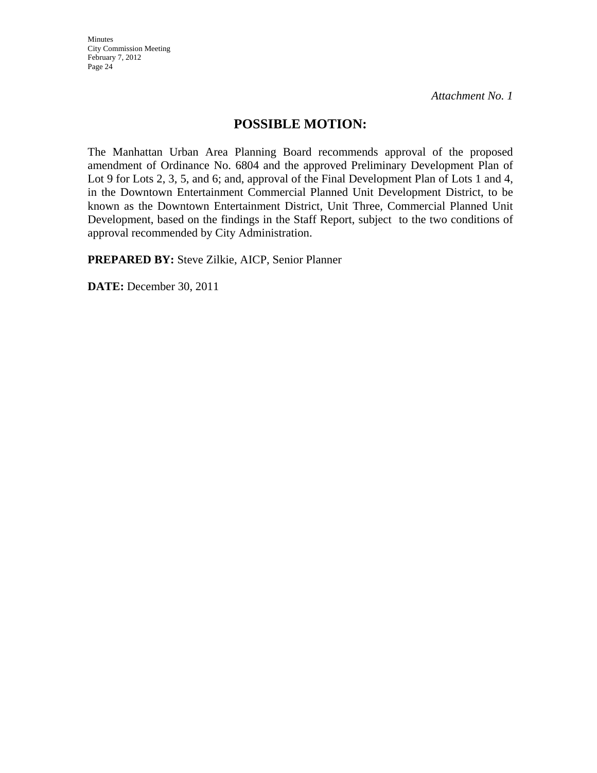*Attachment No. 1*

## **POSSIBLE MOTION:**

The Manhattan Urban Area Planning Board recommends approval of the proposed amendment of Ordinance No. 6804 and the approved Preliminary Development Plan of Lot 9 for Lots 2, 3, 5, and 6; and, approval of the Final Development Plan of Lots 1 and 4, in the Downtown Entertainment Commercial Planned Unit Development District, to be known as the Downtown Entertainment District, Unit Three, Commercial Planned Unit Development, based on the findings in the Staff Report, subject to the two conditions of approval recommended by City Administration.

**PREPARED BY:** Steve Zilkie, AICP, Senior Planner

**DATE:** December 30, 2011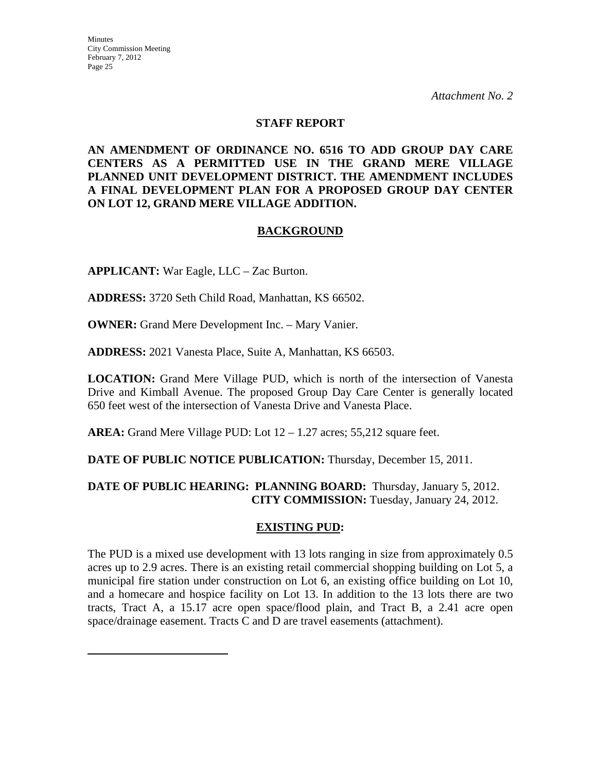*Attachment No. 2*

#### **STAFF REPORT**

**AN AMENDMENT OF ORDINANCE NO. 6516 TO ADD GROUP DAY CARE CENTERS AS A PERMITTED USE IN THE GRAND MERE VILLAGE PLANNED UNIT DEVELOPMENT DISTRICT. THE AMENDMENT INCLUDES A FINAL DEVELOPMENT PLAN FOR A PROPOSED GROUP DAY CENTER ON LOT 12, GRAND MERE VILLAGE ADDITION.** 

#### **BACKGROUND**

**APPLICANT:** War Eagle, LLC – Zac Burton.

**ADDRESS:** 3720 Seth Child Road, Manhattan, KS 66502.

**OWNER:** Grand Mere Development Inc. – Mary Vanier.

**ADDRESS:** 2021 Vanesta Place, Suite A, Manhattan, KS 66503.

**LOCATION:** Grand Mere Village PUD, which is north of the intersection of Vanesta Drive and Kimball Avenue. The proposed Group Day Care Center is generally located 650 feet west of the intersection of Vanesta Drive and Vanesta Place.

**AREA:** Grand Mere Village PUD: Lot 12 – 1.27 acres; 55,212 square feet.

**DATE OF PUBLIC NOTICE PUBLICATION:** Thursday, December 15, 2011.

#### **DATE OF PUBLIC HEARING: PLANNING BOARD:** Thursday, January 5, 2012. **CITY COMMISSION:** Tuesday, January 24, 2012.

#### **EXISTING PUD:**

The PUD is a mixed use development with 13 lots ranging in size from approximately 0.5 acres up to 2.9 acres. There is an existing retail commercial shopping building on Lot 5, a municipal fire station under construction on Lot 6, an existing office building on Lot 10, and a homecare and hospice facility on Lot 13. In addition to the 13 lots there are two tracts, Tract A, a 15.17 acre open space/flood plain, and Tract B, a 2.41 acre open space/drainage easement. Tracts C and D are travel easements (attachment).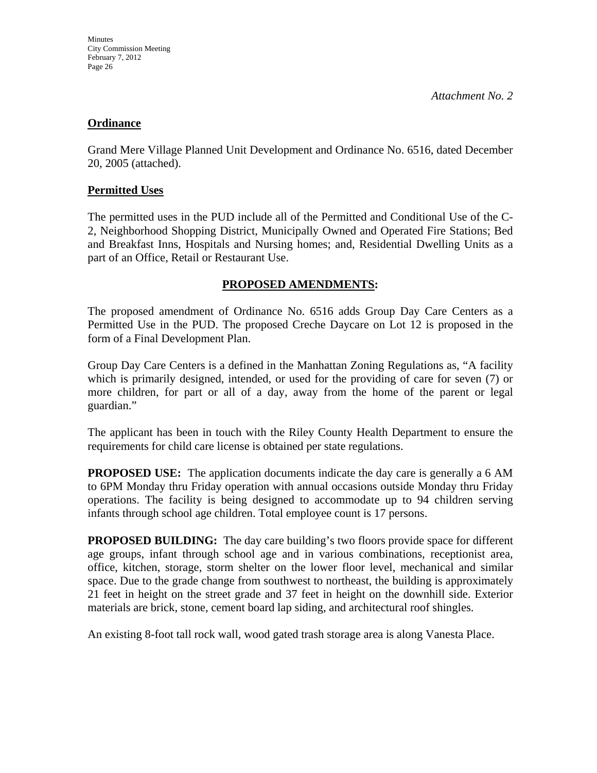#### **Ordinance**

Grand Mere Village Planned Unit Development and Ordinance No. 6516, dated December 20, 2005 (attached).

#### **Permitted Uses**

The permitted uses in the PUD include all of the Permitted and Conditional Use of the C-2, Neighborhood Shopping District, Municipally Owned and Operated Fire Stations; Bed and Breakfast Inns, Hospitals and Nursing homes; and, Residential Dwelling Units as a part of an Office, Retail or Restaurant Use.

## **PROPOSED AMENDMENTS:**

The proposed amendment of Ordinance No. 6516 adds Group Day Care Centers as a Permitted Use in the PUD. The proposed Creche Daycare on Lot 12 is proposed in the form of a Final Development Plan.

Group Day Care Centers is a defined in the Manhattan Zoning Regulations as, "A facility which is primarily designed, intended, or used for the providing of care for seven (7) or more children, for part or all of a day, away from the home of the parent or legal guardian."

The applicant has been in touch with the Riley County Health Department to ensure the requirements for child care license is obtained per state regulations.

**PROPOSED USE:** The application documents indicate the day care is generally a 6 AM to 6PM Monday thru Friday operation with annual occasions outside Monday thru Friday operations. The facility is being designed to accommodate up to 94 children serving infants through school age children. Total employee count is 17 persons.

**PROPOSED BUILDING:** The day care building's two floors provide space for different age groups, infant through school age and in various combinations, receptionist area, office, kitchen, storage, storm shelter on the lower floor level, mechanical and similar space. Due to the grade change from southwest to northeast, the building is approximately 21 feet in height on the street grade and 37 feet in height on the downhill side. Exterior materials are brick, stone, cement board lap siding, and architectural roof shingles.

An existing 8-foot tall rock wall, wood gated trash storage area is along Vanesta Place.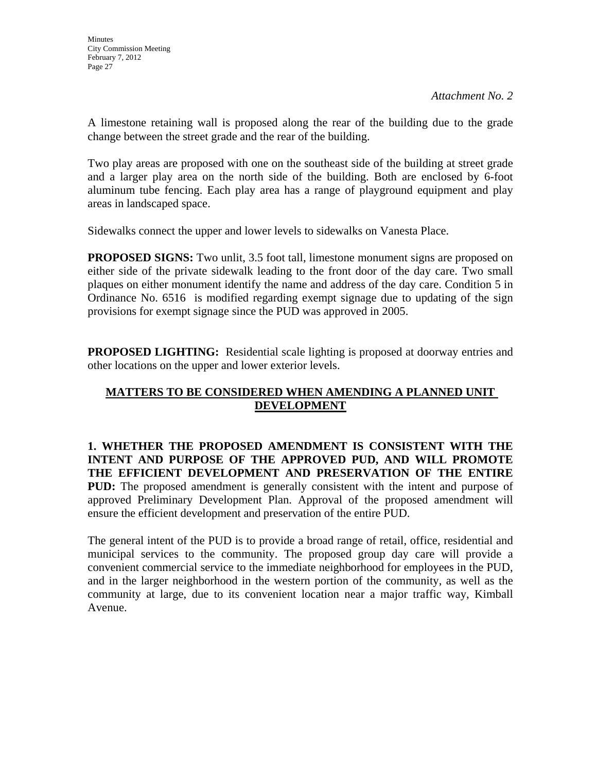A limestone retaining wall is proposed along the rear of the building due to the grade change between the street grade and the rear of the building.

Two play areas are proposed with one on the southeast side of the building at street grade and a larger play area on the north side of the building. Both are enclosed by 6-foot aluminum tube fencing. Each play area has a range of playground equipment and play areas in landscaped space.

Sidewalks connect the upper and lower levels to sidewalks on Vanesta Place.

**PROPOSED SIGNS:** Two unlit, 3.5 foot tall, limestone monument signs are proposed on either side of the private sidewalk leading to the front door of the day care. Two small plaques on either monument identify the name and address of the day care. Condition 5 in Ordinance No. 6516 is modified regarding exempt signage due to updating of the sign provisions for exempt signage since the PUD was approved in 2005.

**PROPOSED LIGHTING:** Residential scale lighting is proposed at doorway entries and other locations on the upper and lower exterior levels.

## **MATTERS TO BE CONSIDERED WHEN AMENDING A PLANNED UNIT DEVELOPMENT**

**1. WHETHER THE PROPOSED AMENDMENT IS CONSISTENT WITH THE INTENT AND PURPOSE OF THE APPROVED PUD, AND WILL PROMOTE THE EFFICIENT DEVELOPMENT AND PRESERVATION OF THE ENTIRE PUD:** The proposed amendment is generally consistent with the intent and purpose of approved Preliminary Development Plan. Approval of the proposed amendment will ensure the efficient development and preservation of the entire PUD.

The general intent of the PUD is to provide a broad range of retail, office, residential and municipal services to the community. The proposed group day care will provide a convenient commercial service to the immediate neighborhood for employees in the PUD, and in the larger neighborhood in the western portion of the community, as well as the community at large, due to its convenient location near a major traffic way, Kimball Avenue.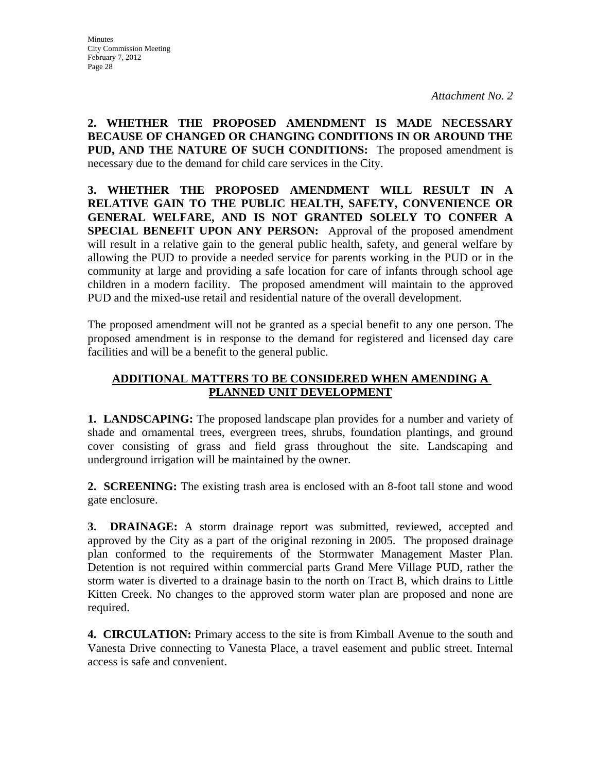**2. WHETHER THE PROPOSED AMENDMENT IS MADE NECESSARY BECAUSE OF CHANGED OR CHANGING CONDITIONS IN OR AROUND THE PUD, AND THE NATURE OF SUCH CONDITIONS:** The proposed amendment is necessary due to the demand for child care services in the City.

**3. WHETHER THE PROPOSED AMENDMENT WILL RESULT IN A RELATIVE GAIN TO THE PUBLIC HEALTH, SAFETY, CONVENIENCE OR GENERAL WELFARE, AND IS NOT GRANTED SOLELY TO CONFER A SPECIAL BENEFIT UPON ANY PERSON:** Approval of the proposed amendment will result in a relative gain to the general public health, safety, and general welfare by allowing the PUD to provide a needed service for parents working in the PUD or in the community at large and providing a safe location for care of infants through school age children in a modern facility. The proposed amendment will maintain to the approved PUD and the mixed-use retail and residential nature of the overall development.

The proposed amendment will not be granted as a special benefit to any one person. The proposed amendment is in response to the demand for registered and licensed day care facilities and will be a benefit to the general public.

#### **ADDITIONAL MATTERS TO BE CONSIDERED WHEN AMENDING A PLANNED UNIT DEVELOPMENT**

**1. LANDSCAPING:** The proposed landscape plan provides for a number and variety of shade and ornamental trees, evergreen trees, shrubs, foundation plantings, and ground cover consisting of grass and field grass throughout the site. Landscaping and underground irrigation will be maintained by the owner.

**2. SCREENING:** The existing trash area is enclosed with an 8-foot tall stone and wood gate enclosure.

**3. DRAINAGE:** A storm drainage report was submitted, reviewed, accepted and approved by the City as a part of the original rezoning in 2005. The proposed drainage plan conformed to the requirements of the Stormwater Management Master Plan. Detention is not required within commercial parts Grand Mere Village PUD, rather the storm water is diverted to a drainage basin to the north on Tract B, which drains to Little Kitten Creek. No changes to the approved storm water plan are proposed and none are required.

**4. CIRCULATION:** Primary access to the site is from Kimball Avenue to the south and Vanesta Drive connecting to Vanesta Place, a travel easement and public street. Internal access is safe and convenient.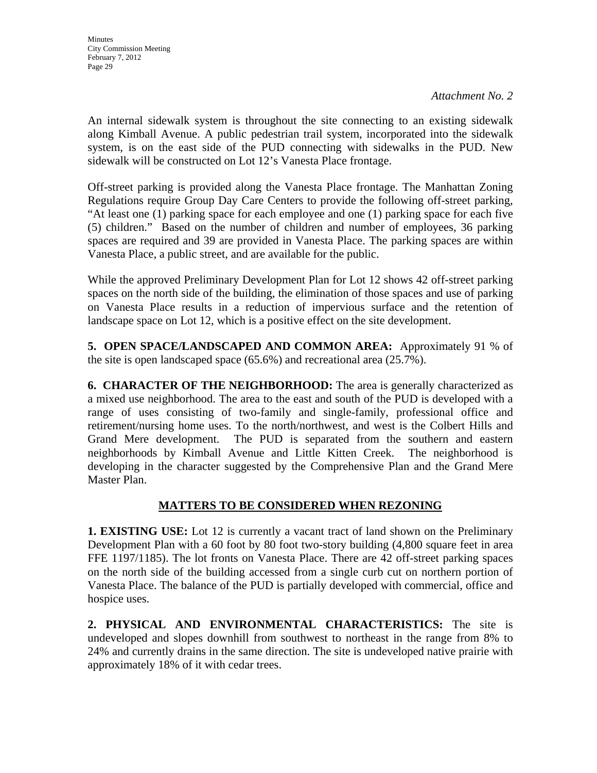An internal sidewalk system is throughout the site connecting to an existing sidewalk along Kimball Avenue. A public pedestrian trail system, incorporated into the sidewalk system, is on the east side of the PUD connecting with sidewalks in the PUD. New sidewalk will be constructed on Lot 12's Vanesta Place frontage.

Off-street parking is provided along the Vanesta Place frontage. The Manhattan Zoning Regulations require Group Day Care Centers to provide the following off-street parking, "At least one (1) parking space for each employee and one (1) parking space for each five (5) children." Based on the number of children and number of employees, 36 parking spaces are required and 39 are provided in Vanesta Place. The parking spaces are within Vanesta Place, a public street, and are available for the public.

While the approved Preliminary Development Plan for Lot 12 shows 42 off-street parking spaces on the north side of the building, the elimination of those spaces and use of parking on Vanesta Place results in a reduction of impervious surface and the retention of landscape space on Lot 12, which is a positive effect on the site development.

**5. OPEN SPACE/LANDSCAPED AND COMMON AREA:** Approximately 91 % of the site is open landscaped space (65.6%) and recreational area (25.7%).

**6. CHARACTER OF THE NEIGHBORHOOD:** The area is generally characterized as a mixed use neighborhood. The area to the east and south of the PUD is developed with a range of uses consisting of two-family and single-family, professional office and retirement/nursing home uses. To the north/northwest, and west is the Colbert Hills and Grand Mere development. The PUD is separated from the southern and eastern neighborhoods by Kimball Avenue and Little Kitten Creek. The neighborhood is developing in the character suggested by the Comprehensive Plan and the Grand Mere Master Plan.

## **MATTERS TO BE CONSIDERED WHEN REZONING**

**1. EXISTING USE:** Lot 12 is currently a vacant tract of land shown on the Preliminary Development Plan with a 60 foot by 80 foot two-story building (4,800 square feet in area FFE 1197/1185). The lot fronts on Vanesta Place. There are 42 off-street parking spaces on the north side of the building accessed from a single curb cut on northern portion of Vanesta Place. The balance of the PUD is partially developed with commercial, office and hospice uses.

**2. PHYSICAL AND ENVIRONMENTAL CHARACTERISTICS:** The site is undeveloped and slopes downhill from southwest to northeast in the range from 8% to 24% and currently drains in the same direction. The site is undeveloped native prairie with approximately 18% of it with cedar trees.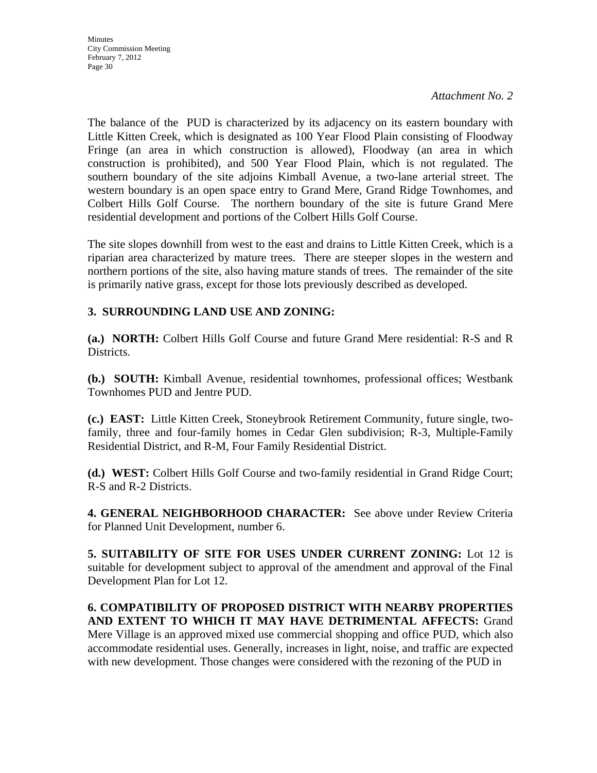*Attachment No. 2*

The balance of the PUD is characterized by its adjacency on its eastern boundary with Little Kitten Creek, which is designated as 100 Year Flood Plain consisting of Floodway Fringe (an area in which construction is allowed), Floodway (an area in which construction is prohibited), and 500 Year Flood Plain, which is not regulated. The southern boundary of the site adjoins Kimball Avenue, a two-lane arterial street. The western boundary is an open space entry to Grand Mere, Grand Ridge Townhomes, and Colbert Hills Golf Course. The northern boundary of the site is future Grand Mere residential development and portions of the Colbert Hills Golf Course.

The site slopes downhill from west to the east and drains to Little Kitten Creek, which is a riparian area characterized by mature trees. There are steeper slopes in the western and northern portions of the site, also having mature stands of trees. The remainder of the site is primarily native grass, except for those lots previously described as developed.

## **3. SURROUNDING LAND USE AND ZONING:**

**(a.) NORTH:** Colbert Hills Golf Course and future Grand Mere residential: R-S and R Districts.

**(b.) SOUTH:** Kimball Avenue, residential townhomes, professional offices; Westbank Townhomes PUD and Jentre PUD.

**(c.) EAST:** Little Kitten Creek, Stoneybrook Retirement Community, future single, twofamily, three and four-family homes in Cedar Glen subdivision; R-3, Multiple-Family Residential District, and R-M, Four Family Residential District.

**(d.) WEST:** Colbert Hills Golf Course and two-family residential in Grand Ridge Court; R-S and R-2 Districts.

**4. GENERAL NEIGHBORHOOD CHARACTER:** See above under Review Criteria for Planned Unit Development, number 6.

**5. SUITABILITY OF SITE FOR USES UNDER CURRENT ZONING:** Lot 12 is suitable for development subject to approval of the amendment and approval of the Final Development Plan for Lot 12.

**6. COMPATIBILITY OF PROPOSED DISTRICT WITH NEARBY PROPERTIES AND EXTENT TO WHICH IT MAY HAVE DETRIMENTAL AFFECTS:** Grand Mere Village is an approved mixed use commercial shopping and office PUD, which also accommodate residential uses. Generally, increases in light, noise, and traffic are expected with new development. Those changes were considered with the rezoning of the PUD in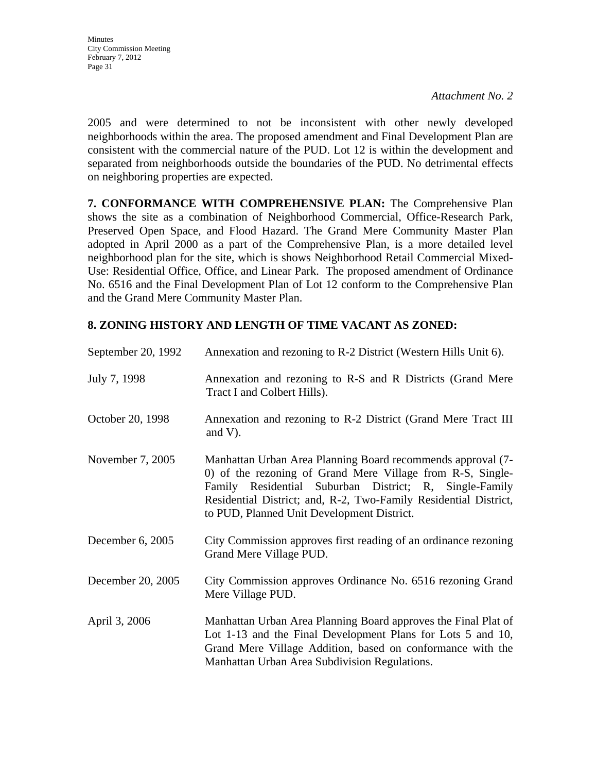2005 and were determined to not be inconsistent with other newly developed neighborhoods within the area. The proposed amendment and Final Development Plan are consistent with the commercial nature of the PUD. Lot 12 is within the development and separated from neighborhoods outside the boundaries of the PUD. No detrimental effects on neighboring properties are expected.

**7. CONFORMANCE WITH COMPREHENSIVE PLAN:** The Comprehensive Plan shows the site as a combination of Neighborhood Commercial, Office-Research Park, Preserved Open Space, and Flood Hazard. The Grand Mere Community Master Plan adopted in April 2000 as a part of the Comprehensive Plan, is a more detailed level neighborhood plan for the site, which is shows Neighborhood Retail Commercial Mixed-Use: Residential Office, Office, and Linear Park. The proposed amendment of Ordinance No. 6516 and the Final Development Plan of Lot 12 conform to the Comprehensive Plan and the Grand Mere Community Master Plan.

## **8. ZONING HISTORY AND LENGTH OF TIME VACANT AS ZONED:**

| September 20, 1992 | Annexation and rezoning to R-2 District (Western Hills Unit 6).                                                                                                                                                                                                                                       |
|--------------------|-------------------------------------------------------------------------------------------------------------------------------------------------------------------------------------------------------------------------------------------------------------------------------------------------------|
| July 7, 1998       | Annexation and rezoning to R-S and R Districts (Grand Mere<br>Tract I and Colbert Hills).                                                                                                                                                                                                             |
| October 20, 1998   | Annexation and rezoning to R-2 District (Grand Mere Tract III)<br>and $V$ ).                                                                                                                                                                                                                          |
| November 7, 2005   | Manhattan Urban Area Planning Board recommends approval (7-<br>0) of the rezoning of Grand Mere Village from R-S, Single-<br>Family Residential Suburban District; R, Single-Family<br>Residential District; and, R-2, Two-Family Residential District,<br>to PUD, Planned Unit Development District. |
| December 6, 2005   | City Commission approves first reading of an ordinance rezoning<br>Grand Mere Village PUD.                                                                                                                                                                                                            |
| December 20, 2005  | City Commission approves Ordinance No. 6516 rezoning Grand<br>Mere Village PUD.                                                                                                                                                                                                                       |
| April 3, 2006      | Manhattan Urban Area Planning Board approves the Final Plat of<br>Lot 1-13 and the Final Development Plans for Lots 5 and 10,<br>Grand Mere Village Addition, based on conformance with the<br>Manhattan Urban Area Subdivision Regulations.                                                          |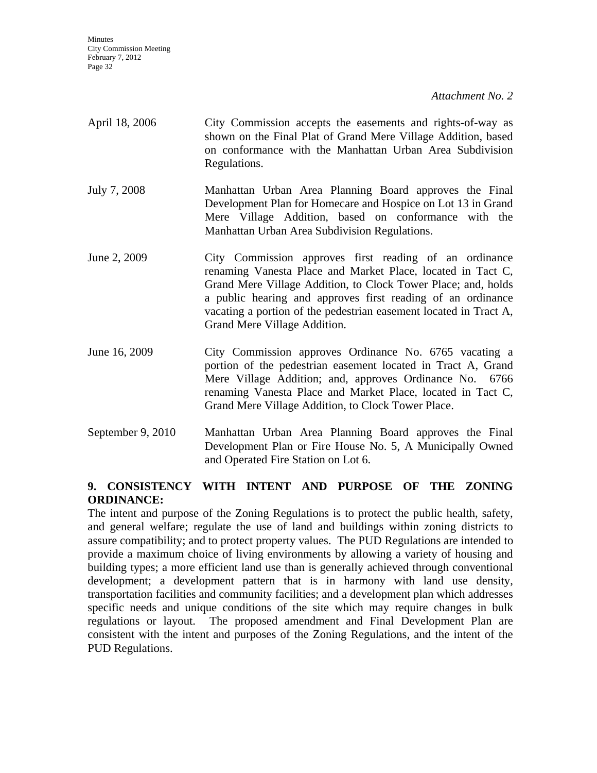| April 18, 2006 | City Commission accepts the easements and rights-of-way as<br>shown on the Final Plat of Grand Mere Village Addition, based<br>on conformance with the Manhattan Urban Area Subdivision<br>Regulations.                                                                                                                                                    |
|----------------|------------------------------------------------------------------------------------------------------------------------------------------------------------------------------------------------------------------------------------------------------------------------------------------------------------------------------------------------------------|
| July 7, 2008   | Manhattan Urban Area Planning Board approves the Final<br>Development Plan for Homecare and Hospice on Lot 13 in Grand<br>Mere Village Addition, based on conformance with the<br>Manhattan Urban Area Subdivision Regulations.                                                                                                                            |
| June 2, 2009   | City Commission approves first reading of an ordinance<br>renaming Vanesta Place and Market Place, located in Tact C,<br>Grand Mere Village Addition, to Clock Tower Place; and, holds<br>a public hearing and approves first reading of an ordinance<br>vacating a portion of the pedestrian easement located in Tract A,<br>Grand Mere Village Addition. |
| June 16, 2009  | City Commission approves Ordinance No. 6765 vacating a<br>portion of the pedestrian easement located in Tract A, Grand<br>Mere Village Addition; and, approves Ordinance No. 6766<br>renaming Vanesta Place and Market Place, located in Tact C,<br>Grand Mere Village Addition, to Clock Tower Place.                                                     |

September 9, 2010 Manhattan Urban Area Planning Board approves the Final Development Plan or Fire House No. 5, A Municipally Owned and Operated Fire Station on Lot 6.

#### **9. CONSISTENCY WITH INTENT AND PURPOSE OF THE ZONING ORDINANCE:**

The intent and purpose of the Zoning Regulations is to protect the public health, safety, and general welfare; regulate the use of land and buildings within zoning districts to assure compatibility; and to protect property values. The PUD Regulations are intended to provide a maximum choice of living environments by allowing a variety of housing and building types; a more efficient land use than is generally achieved through conventional development; a development pattern that is in harmony with land use density, transportation facilities and community facilities; and a development plan which addresses specific needs and unique conditions of the site which may require changes in bulk regulations or layout. The proposed amendment and Final Development Plan are consistent with the intent and purposes of the Zoning Regulations, and the intent of the PUD Regulations.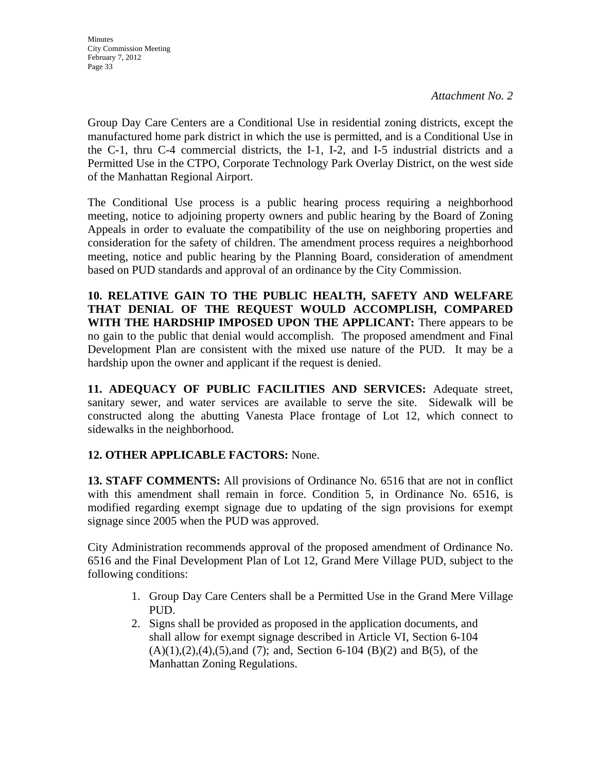Group Day Care Centers are a Conditional Use in residential zoning districts, except the manufactured home park district in which the use is permitted, and is a Conditional Use in the C-1, thru C-4 commercial districts, the I-1, I-2, and I-5 industrial districts and a Permitted Use in the CTPO, Corporate Technology Park Overlay District, on the west side of the Manhattan Regional Airport.

The Conditional Use process is a public hearing process requiring a neighborhood meeting, notice to adjoining property owners and public hearing by the Board of Zoning Appeals in order to evaluate the compatibility of the use on neighboring properties and consideration for the safety of children. The amendment process requires a neighborhood meeting, notice and public hearing by the Planning Board, consideration of amendment based on PUD standards and approval of an ordinance by the City Commission.

**10. RELATIVE GAIN TO THE PUBLIC HEALTH, SAFETY AND WELFARE THAT DENIAL OF THE REQUEST WOULD ACCOMPLISH, COMPARED WITH THE HARDSHIP IMPOSED UPON THE APPLICANT:** There appears to be no gain to the public that denial would accomplish. The proposed amendment and Final Development Plan are consistent with the mixed use nature of the PUD. It may be a hardship upon the owner and applicant if the request is denied.

**11. ADEQUACY OF PUBLIC FACILITIES AND SERVICES:** Adequate street, sanitary sewer, and water services are available to serve the site. Sidewalk will be constructed along the abutting Vanesta Place frontage of Lot 12, which connect to sidewalks in the neighborhood.

## **12. OTHER APPLICABLE FACTORS:** None.

**13. STAFF COMMENTS:** All provisions of Ordinance No. 6516 that are not in conflict with this amendment shall remain in force. Condition 5, in Ordinance No. 6516, is modified regarding exempt signage due to updating of the sign provisions for exempt signage since 2005 when the PUD was approved.

City Administration recommends approval of the proposed amendment of Ordinance No. 6516 and the Final Development Plan of Lot 12, Grand Mere Village PUD, subject to the following conditions:

- 1. Group Day Care Centers shall be a Permitted Use in the Grand Mere Village PUD.
- 2. Signs shall be provided as proposed in the application documents, and shall allow for exempt signage described in Article VI, Section 6-104  $(A)(1),(2),(4),(5)$ , and  $(7)$ ; and, Section 6-104  $(B)(2)$  and  $B(5)$ , of the Manhattan Zoning Regulations.